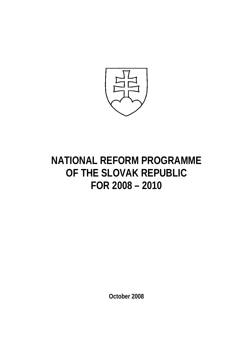

# **NATIONAL REFORM PROGRAMME OF THE SLOVAK REPUBLIC FOR 2008 – 2010**

**October 2008**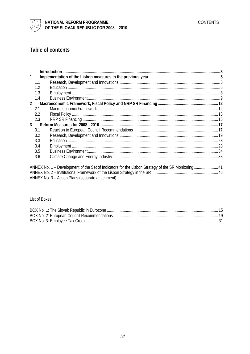

# Table of contents

| 1<br>1.1<br>1.2<br>1.3<br>1.4<br>$2^{\circ}$                                                       |  |
|----------------------------------------------------------------------------------------------------|--|
|                                                                                                    |  |
|                                                                                                    |  |
|                                                                                                    |  |
|                                                                                                    |  |
|                                                                                                    |  |
|                                                                                                    |  |
| 2.1                                                                                                |  |
| 2.2                                                                                                |  |
| 2.3                                                                                                |  |
| 3 <sup>1</sup>                                                                                     |  |
| 3.1                                                                                                |  |
| 3.2                                                                                                |  |
| 3.3                                                                                                |  |
| 3.4                                                                                                |  |
| 3.5                                                                                                |  |
| 3.6                                                                                                |  |
|                                                                                                    |  |
| ANNEX No. 1 – Development of the Set of Indicators for the Lisbon Strategy of the SR Monitoring 41 |  |
|                                                                                                    |  |
| ANNEX No. 3 - Action Plans (separate attachment)                                                   |  |

# List of Boxes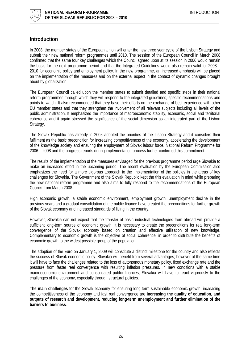<span id="page-2-0"></span>

# **Introduction**

In 2008, the member states of the European Union will enter the new three year cycle of the Lisbon Strategy and submit their new national reform programmes until 2010. The session of the European Council in March 2008 confirmed that the same four key challenges which the Council agreed upon at its session in 2006 would remain the basis for the next programme period and that the Integrated Guidelines would also remain valid for 2008 – 2010 for economic policy and employment policy. In the new programme, an increased emphasis will be placed on the implementation of the measures and on the external aspect in the context of dynamic changes brought about by globalization.

The European Council called upon the member states to submit detailed and specific steps in their national reform programmes through which they will respond to the integrated guidelines, specific recommendations and points to watch. It also recommended that they base their efforts on the exchange of best experience with other EU member states and that they strengthen the involvement of all relevant subjects including all levels of the public administration. It emphasized the importance of macroeconomic stability, economic, social and territorial coherence and it again stressed the significance of the social dimension as an integrated part of the Lisbon Strategy.

The Slovak Republic has already in 2005 adopted the priorities of the Lisbon Strategy and it considers their fulfilment as the basic precondition for increasing competitiveness of the economy, accelerating the development of the knowledge society and ensuring the employment of Slovak labour force. National Reform Programme for 2006 – 2008 and the progress reports during implementation process further confirmed this commitment.

The results of the implementation of the measures envisaged for the previous programme period urge Slovakia to make an increased effort in the upcoming period. The recent evaluation by the European Commission also emphasizes the need for a more vigorous approach to the implementation of the policies in the areas of key challenges for Slovakia. The Government of the Slovak Republic kept the this evaluation in mind while preparing the new national reform programme and also aims to fully respond to the recommendations of the European Council from March 2008.

High economic growth, a stable economic environment, employment growth, unemployment decline in the previous years and a gradual consolidation of the public finance have created the preconditions for further growth of the Slovak economy and increased standards of living in the country.

However, Slovakia can not expect that the transfer of basic industrial technologies from abroad will provide a sufficient long-term source of economic growth. It is necessary to create the preconditions for real long-term convergence of the Slovak economy based on creation and effective utilization of new knowledge. Complementary to economic growth is the objective of social coherence, in order to distribute the benefits of economic growth to the widest possible group of the population.

The adoption of the Euro on January 1, 2009 will constitute a distinct milestone for the country and also reflects the success of Slovak economic policy. Slovakia will benefit from several advantages; however at the same time it will have to face the challenges related to the loss of autonomous monetary policy, fixed exchange rate and the pressure from faster real convergence with resulting inflation pressures. In new conditions with a stable macroeconomic environment and consolidated public finances, Slovakia will have to react vigorously to the challenges of the economy, especially through structural policies.

**The main challenges** for the Slovak economy for ensuring long-term sustainable economic growth, increasing the competitiveness of the economy and fast real convergence are **increasing the quality of education, and outputs of research and development, reducing long-term unemployment and further elimination of the barriers to business**.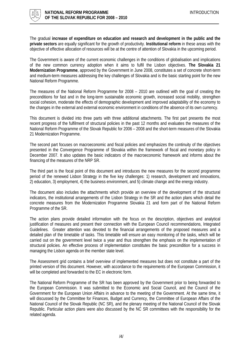

The gradual **increase of expenditure on education and research and development in the public and the private sectors** are equally significant for the growth of productivity. **Institutional reform** in these areas with the objective of effective allocation of resources will be at the centre of attention of Slovakia in the upcoming period.

The Government is aware of the current economic challenges in the conditions of globalisation and implications of the new common currency adoption when it aims to fulfil the Lisbon objectives. **The Slovakia 21 Modernization Programme**, approved by the Government in June 2008, constitutes a set of concrete short-term and medium-term measures addressing the key challenges of Slovakia and is the basic starting point for the new National Reform Programme.

The measures of the National Reform Programme for 2008 – 2010 are outlined with the goal of creating the preconditions for fast and in the long-term sustainable economic growth, increased social mobility, strengthen social cohesion, moderate the effects of demographic development and improved adaptability of the economy to the changes in the external and external economic environment in conditions of the absence of its own currency.

This document is divided into three parts with three additional attachments. The first part presents the most recent progress of the fulfilment of structural policies in the past 12 months and evaluates the measures of the National Reform Programme of the Slovak Republic for 2006 – 2008 and the short-term measures of the Slovakia 21 Modernization Programme.

The second part focuses on macroeconomic and fiscal policies and emphasizes the continuity of the objectives presented in the Convergence Programme of Slovakia within the framework of fiscal and monetary policy in December 2007. It also updates the basic indicators of the macroeconomic framework and informs about the financing of the measures of the NRP SR.

The third part is the focal point of this document and introduces the new measures for the second programme period of the renewed Lisbon Strategy in the five key challenges: 1) research, development and innovations, 2) education, 3) employment, 4) the business environment, and 5) climate change and the energy industry.

The document also includes the attachments which provide an overview of the development of the structural indicators, the institutional arrangements of the Lisbon Strategy in the SR and the action plans which detail the concrete measures from the Modernization Programme Slovakia 21 and form part of the National Reform Programme of the SR.

The action plans provide detailed information with the focus on the description, objectives and analytical justification of measures and present their connection with the European Council recommendations, Integrated Guidelines. Greater attention was devoted to the financial arrangements of the proposed measures and a detailed plan of the timetable of tasks. This timetable will ensure an easy monitoring of the tasks, which will be carried out on the government level twice a year and thus strengthen the emphasis on the implementation of structural policies. An effective process of implementation constitutes the basic precondition for a success in managing the Lisbon agenda on the member state level.

The Assessment grid contains a brief overview of implemented measures but does not constitute a part of the printed version of this document. However, with accordance to the requirements of the European Commission, it will be completed and forwarded to the EC in electronic form.

The National Reform Programme of the SR has been approved by the Government prior to being forwarded to the European Commission. It was submitted to the Economic and Social Council, and the Council of the Government for the European Union Affairs in advance to the meeting of the Government. At the same time, it will discussed by the Committee for Finances, Budget and Currency, the Committee of European Affairs of the National Council of the Slovak Republic (NC SR), and the plenary meeting of the National Council of the Slovak Republic. Particular action plans were also discussed by the NC SR committees with the responsibility for the related agenda.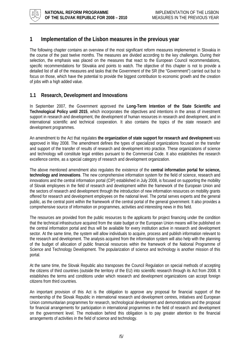<span id="page-4-0"></span>

# **1 Implementation of the Lisbon measures in the previous year**

The following chapter contains an overview of the most significant reform measures implemented in Slovakia in the course of the past twelve months. The measures are divided according to the key challenges. During their selection, the emphasis was placed on the measures that react to the European Council recommendations, specific recommendations for Slovakia and points to watch. The objective of this chapter is not to provide a detailed list of all of the measures and tasks that the Government of the SR (the "Government") carried out but to focus on those, which have the potential to provide the biggest contribution to economic growth and the creation of jobs with a high added value.

# **1.1 Research, Development and Innovations**

In September 2007, the Government approved the **Long-Term Intention of the State Scientific and Technological Policy until 2015**, which incorporates the objectives and intentions in the areas of investment support in research and development, the development of human resources in research and development, and in international scientific and technical cooperation. It also contains the topics of the state research and development programmes.

An amendment to the Act that regulates **the organization of state support for research and development** was approved in May 2008. The amendment defines the types of specialized organizations focused on the transfer and support of the transfer of results of research and development into practice. These organizations of science and technology will constitute legal entities pursuant to the Commercial Code. It also establishes the research excellence centre, as a special category of research and development organization.

The above mentioned amendment also regulates the existence of the **central information portal for science, technology and innovations**. The new comprehensive information system for the field of science, research and innovations and the central information portal (CIP) established in July 2008, is focused on supporting the mobility of Slovak employees in the field of research and development within the framework of the European Union and the sectors of research and development through the introduction of new information resources on mobility grants offered for research and development employees on the national level. The portal serves experts and the general public, as the central point within the framework of the central portal of the general government. It also provides a comprehensive source of information on programmes, activities and interesting news in this field.

The resources are provided from the public resources to the applicants for project financing under the condition that the technical infrastructure acquired from the state budget or the European Union means will be published on the central information portal and thus will be available for every institution active in research and development sector. At the same time, the system will allow individuals to acquire, process and publish information relevant to the research and development. The analysis acquired from the information system will also help with the planning of the budget of allocation of public financial resources within the framework of the National Programme of Science and Technology Development. The popularization of science and technology is another mission of this portal.

At the same time, the Slovak Republic also transposes the Council Regulation on special methods of accepting the citizens of third countries (outside the territory of the EU) into scientific research through its Act from 2008. It establishes the terms and conditions under which research and development organizations can accept foreign citizens from third countries.

An important provision of this Act is the obligation to approve any proposal for financial support of the membership of the Slovak Republic in international research and development centres, initiatives and European Union communitarian programmes for research, technological development and demonstrations and the proposal for financial arrangements for participation in international programmes in the field of research and development on the government level. The motivation behind this obligation is to pay greater attention to the financial arrangements of activities in the field of science and technology.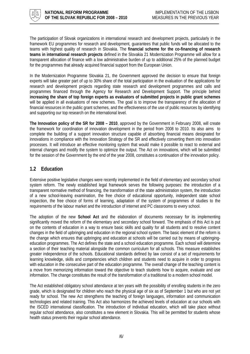<span id="page-5-0"></span>

The participation of Slovak organizations in international research and development projects, particularly in the framework EU programmes for research and development, guarantees that public funds will be allocated to the teams with highest quality of research in Slovakia. The **financial scheme for the co-financing of research teams in international research projects** defined in the Slovakia 21 Modernization Programme will allow for a transparent allocation of finance with a low administrative burden of up to additional 25% of the planned budget for the programmes that already acquired financial support from the European Union.

In the Modernization Programme Slovakia 21, the Government approved the decision to ensure that foreign experts will take greater part of up to 30% share of the total participation in the evaluation of the applications for research and development projects regarding state research and development programmes and calls and programmes financed through the Agency for Research and Development Support. The principle behind **increasing the share of top foreign experts as evaluators of submitted projects in public grant schemes** will be applied in all evaluations of new schemes. The goal is to improve the transparency of the allocation of financial resources in the public grant schemes, and the effectiveness of the use of public resources by identifying and supporting our top research on the international level.

**The Innovation policy of the SR for 2008 – 2010**, approved by the Government in February 2008, will create the framework for coordination of innovation development in the period from 2008 to 2010. Its also aims to complete the building of a support innovation structure capable of absorbing financial means designated for innovations in compliance with the Innovation Strategy of the SR and effectively converting them into innovation processes. It will introduce an effective monitoring system that would make it possible to react to external and internal changes and modify the system to optimize the output. The Act on innovations, which will be submitted for the session of the Government by the end of the year 2008, constitutes a continuation of the innovation policy.

# **1.2 Education**

Extensive positive legislative changes were recently implemented in the field of elementary and secondary school system reform. The newly established legal framework serves the following purposes: the introduction of a transparent normative method of financing, the transformation of the state administration system, the introduction of a new school-leaving examination, the free choice of educational opportunity, independent state school inspection, the free choice of forms of learning, adaptation of the system of programmes of studies to the requirements of the labour market and the introduction of internet and PC classrooms to every school.

The adoption of the new **School Act** and the elaboration of documents necessary for its implementing significantly moved the reform of the elementary and secondary school forward. The emphasis of this Act is put on the contents of education in a way to ensure basic skills and quality for all students and to resolve content changes in the field of upbringing and education in the regional school system. The basic element of the reform is the change which ensures that upbringing and education at schools will be carried out by means of upbringingeducation programmes. The Act defines the state and a school education programme. Each school will determine a section of their teaching material alongside the common curriculum for all schools. This measure establishes greater independence of the schools. Educational standards defined by law consist of a set of requirements for learning knowledge, skills and competencies which children and students need to acquire in order to progress with education in the consecutive part of the education programme. The overall change of the teaching content is a move from memorizing information toward the objective to teach students how to acquire, evaluate and use information. The change constitutes the result of the transformation of a traditional to a modern school model.

The Act established obligatory school attendance at ten years with the possibility of enrolling students in the zero grade, which is designated for children who reach the physical age of six as of September 1 but who are not yet ready for school. The new Act strengthens the teaching of foreign languages, information and communication technologies and related training. This Act also harmonizes the achieved levels of education at our schools with the ISCED international classification. The introduction of individual education, which will take place without regular school attendance, also constitutes a new element in Slovakia. This will be permitted for students whose health status prevents their regular school attendance.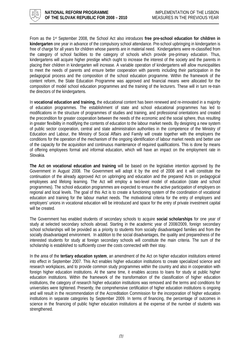

From as the 1st September 2008, the School Act also introduces **free pre-school education for children in kindergarten** one year in advance of the compulsory school attendance. Pre-school upbringing in kindergarten is free of charge for all years for children whose parents are in material need. Kindergartens were re-classified from the category of school facilities to the category of schools which provide pre-primary education. Thus, kindergartens will acquire higher prestige which ought to increase the interest of the society and the parents in placing their children in kindergarten will increase. A variable operation of kindergartens will allow municipalities to meet the needs of parents and ensure better cooperation with parents including their participation in the pedagogical process and the composition of the school education programme. Within the framework of the content reform, the State Education Programme was approved and financial means were allocated for the composition of model school education programmes and the training of the lecturers. These will in turn re-train the directors of the kindergartens.

In **vocational education and training,** the educational content has been renewed and re-innovated in a majority of education programmes. The establishment of state and school educational programmes has led to modifications in the structure of programmes of studies and training, and professional orientations and created the precondition for greater cooperation between the needs of the economic and the social sphere, thus resulting in greater flexibility in modifying the contents of education to the labour market needs. By designing a new system of public sector cooperation, central and state administration authorities in the competence of the Ministry of Education and Labour, the Ministry of Social Affairs and Family will create together with the employers the conditions for the operation of the mechanism of the ongoing identification of labour market needs and better use of the capacity for the acquisition and continuous maintenance of required qualifications. This is done by means of offering employees formal and informal education, which will have an impact on the employment rate in Slovakia.

**The Act on vocational education and training** will be based on the legislative intention approved by the Government in August 2008. The Government will adopt it by the end of 2008 and it will constitute the continuation of the already approved Act on upbringing and education and the prepared Acts on pedagogical employees and lifelong learning. The Act will employ a two-level model of education (state and school programmes). The school education programmes are expected to ensure the active participation of employers on regional and local levels. The goal of this Act is to create a functioning system of the coordination of vocational education and training for the labour market needs. The motivational criteria for the entry of employers and employers' unions in vocational education will be introduced and space for the entry of private investment capital will be created.

The Government has enabled students of secondary schools to acquire **social scholarships** for one year of study at selected secondary schools abroad. Starting in the academic year of 2008/2009, foreign secondary school scholarships will be provided as a priority to students from socially disadvantaged families and from the socially disadvantaged environment. In addition to the social disadvantages, the quality and preparedness of the interested students for study at foreign secondary schools will constitute the main criteria. The sum of the scholarship is established to sufficiently cover the costs connected with their stay.

In the area of the **tertiary education system**, an amendment of the Act on higher education institutions entered into effect in September 2007. This Act enables higher education institutions to create specialized science and research workplaces, and to provide common study programmes within the country and also in cooperation with foreign higher education institutions. At the same time, it enables access to loans for study at public higher education institutions. Within the framework of the transformation of the classification of higher education institutions, the category of research higher education institutions was removed and the terms and conditions for universities were tightened. Presently, the comprehensive certification of higher education institutions is ongoing and will result in the recommendation of the Accreditation Commission for the incorporation of higher education institutions in separate categories by September 2009. In terms of financing, the percentage of outcomes in science in the financing of public higher education institutions at the expense of the number of students was strengthened.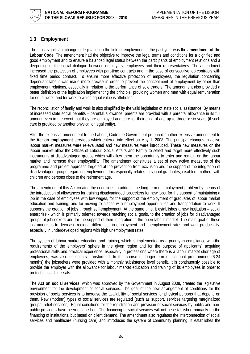<span id="page-7-0"></span>

# **1.3 Employment**

The most significant change of legislation in the field of employment in the past year was the **amendment of the Labour Code**. The amendment had the objective to improve the legal terms and conditions for a dignified and good employment and to ensure a balanced legal status between the participants of employment relations and a deepening of the social dialogue between employers, employees and their representatives. The amendment increased the protection of employees with part-time contracts and in the case of consecutive job contracts with fixed time period contract. To ensure more effective protection of employees, the legislation concerning dependant labour was made more precise in order to prevent the concealment of employment by other than employment relations, especially in relation to the performance of sole traders. The amendment also provided a better definition of the legislation implementing the principle providing women and men with equal remuneration for equal work, and for work to which equal value is attributed.

The reconciliation of family and work is also simplified by the valid legislation of state social assistance. By means of increased state social benefits – parental allowance, parents are provided with a parental allowance in its full amount even in the event that they are employed and care for their child of age up to three or six years (if such care is provided by another physical or legal entity).

After the extensive amendment to the Labour, Code the Government prepared another extensive amendment to the **Act on employment services** which entered into effect on May 1, 2008. The principal changes in active labour market measures were re-evaluated and new measures were introduced. These new measures on the labour market allow the Offices of Labour, Social Affairs and Family to select and target more effectively such instruments at disadvantaged groups which will allow them the opportunity to enter and remain on the labour market and increase their employability. The amendment constitutes a set of new active measures of the programme and project approach targeted at the prevention from exclusion and the support of the integration of disadvantaged groups regarding employment; this especially relates to school graduates, disabled, mothers with children and persons close to the retirement age.

The amendment of this Act created the conditions to address the long-term unemployment problem by means of the introduction of allowances for training disadvantaged jobseekers for new jobs, for the support of maintaining a job in the case of employees with low wages, for the support of the employment of graduates of labour market education and training, and for moving to places with employment opportunities and transportation to work. It supports the creation of jobs through self-employment. At the same time, it establishes a new institution – social enterprise - which is primarily oriented towards reaching social goals, to the creation of jobs for disadvantaged groups of jobseekers and for the support of their integration in the open labour market. The main goal of these instruments is to decrease regional differences in employment and unemployment rates and work productivity, especially in underdeveloped regions with high unemployment rates.

The system of labour market education and training, which is implemented as a priority in compliance with the requirements of the employers' sphere in the given region and for the purpose of applicants´ acquiring professional skills and practical experience, especially in professions where there is a labour market shortage of employees, was also essentially transformed. In the course of longer-term educational programmes (6-24 months) the jobseekers were provided with a monthly subsistence level benefit. It is continuously possible to provide the employer with the allowance for labour market education and training of its employees in order to protect mass dismissals.

**The Act on social services,** which was approved by the Government in August 2008, created the legislative environment for the development of social services. The goal of the new arrangement of conditions for the provision of social services is to increase the availability of social services for physical persons that depend on them. New (modern) types of social services are regulated (such as support, services targeting marginalized groups, relief services). Equal conditions for the registration and provision of social services by public and nonpublic providers have been established. The financing of social services will not be established primarily on the financing of institutions, but based on client demand. The amendment also regulates the interconnection of social services and healthcare (nursing care) and introduces the system of community planning. It establishes the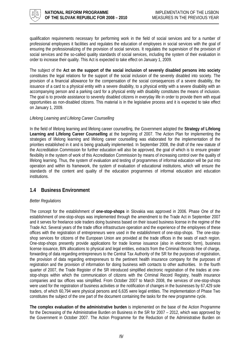<span id="page-8-0"></span>

qualification requirements necessary for performing work in the field of social services and for a number of professional employees it facilities and regulates the education of employees in social services with the goal of ensuring the professionalizing of the provision of social services. It regulates the supervision of the provision of social services and the so-called quality standards of social services, including the system of their evaluation in order to increase their quality. This Act is expected to take effect on January 1, 2009.

The subject of the **Act on the support of the social inclusion of severely disabled persons into society** constitutes the legal relations for the support of the social inclusion of the severely disabled into society. The provision of a financial allowance for the compensation of the social consequences of a severe disability, the issuance of a card to a physical entity with a severe disability, to a physical entity with a severe disability with an accompanying person and a parking card for a physical entity with disability constitutes the means of inclusion. The goal is to provide assistance to severely disabled citizens in everyday life in order to provide them with equal opportunities as non-disabled citizens. This material is in the legislative process and it is expected to take effect on January 1, 2009.

## *Lifelong Learning and Lifelong Career Counselling*

In the field of lifelong learning and lifelong career counselling, the Government adopted the **Strategy of Lifelong Learning and Lifelong Career Counselling** at the beginning of 2007. The Action Plan for implementing the strategies of lifelong learning and lifelong career counselling was elaborated for the implementation of the priorities established in it and is being gradually implemented. In September 2008, the draft of the new statute of the Accreditation Commission for further education will also be approved, the goal of which is to ensure greater flexibility in the system of work of this Accreditation Commission by means of increasing control over the quality of lifelong learning. Thus, the system of evaluation and testing of programmes of informal education will be put into operation and within its framework, the system of evaluation of educational institutions, which will ensure the standards of the content and quality of the education programmes of informal education and education institutions.

## **1.4 Business Environment**

## *Better Regulations*

The concept for the establishment of **one-stop-shops** in Slovakia was approved in 2006. Phase One of the establishment of one-stop-shops was implemented through the amendment to the Trade Act in September 2007 and it serves for freelance sole traders doing business based on their issued business license in the regime of the Trade Act. Several years of the trade office infrastructure operation and the experience of the employees of these offices with the registration of entrepreneurs were used in the establishment of one-stop-shops. The one-stopshop services for citizens of the European Union are provided at the trade offices in the seats of each region. One-stop-shops presently provide applications for trade license issuance (also in electronic form), business license issuance, BIN allocations to physical and legal entities, extracts from the Criminal Records free of charge, forwarding of data regarding entrepreneurs to the Central Tax Authority of the SR for the purposes of registration, the provision of data regarding entrepreneurs to the pertinent health insurance company for the purposes of registration and the provision of information for doing business with contacts to other authorities. In the fourth quarter of 2007, the Trade Register of the SR introduced simplified electronic registration of the trades at onestop-shops within which the communication of citizens with the Criminal Record Registry, health insurance companies and tax offices was simplified. From October 2007 to March 2008, the services of one-stop-shops were used for the registration of business activities or the notification of changes in the businesses by 67,429 sole traders, of which 60,794 were physical persons and 6,635 were legal entities. The implementation of Phase Two constitutes the subject of the one part of the document containing the tasks for the new programme cycle.

**The complex evaluation of the administrative burden** is implemented on the base of the Action Programme for the Decreasing of the Administrative Burden on Business in the SR for 2007 – 2012, which was approved by the Government in October 2007. The Action Programme for the Reduction of the Administrative Burden on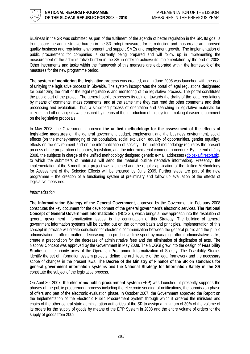

Business in the SR was submitted as part of the fulfilment of the agenda of better regulation in the SR. Its goal is to measure the administrative burden in the SR, adopt measures for its reduction and thus create an improved quality business and regulation environment and support SMEs and employment growth. The implementation of public procurement for companies is currently being prepared and will follow up in implementing the measurement of the administrative burden in the SR in order to achieve its implementation by the end of 2008. Other instruments and tasks within the framework of this measure are elaborated within the framework of the measures for the new programme period.

**The system of monitoring the legislative process** was created, and in June 2008 was launched with the goal of unifying the legislative process in Slovakia. The system incorporates the portal of legal regulations designated for publicizing the draft of the legal regulations and monitoring of the legislative process. The portal constitutes the public part of the project. The general public expresses its opinion towards the drafts of the legal regulations by means of comments, mass comments, and at the same time they can read the other comments and their processing and evaluation. Thus, a simplified process of orientation and searching in legislative materials for citizens and other subjects was ensured by means of the introduction of this system, making it easier to comment on the legislative proposals.

In May 2008, the Government approved **the unified methodology for the assessment of the effects of legislative measures** on the general government budget, employment and the business environment, social effects (on the money-managing of the population, social exclusion, equality of opportunities, gender equality), effects on the environment and on the informatization of society. The unified methodology regulates the present process of the preparation of policies, legislation, and the inter-ministerial comment procedure. By the end of July 2008, the subjects in charge of the unified methodology designed generic e-mail addresses ([dolozka@rezort.sk\)](mailto:dolozka@rezort.sk), to which the submitters of materials will send the material outline (tentative information). Presently, the implementation of the 6-month pilot project was launched and the regular application of the Unified Methodology for Assessment of the Selected Effects will be ensured by June 2009. Further steps are part of the new programme – the creation of a functioning system of preliminary and follow up evaluation of the effects of legislative measures.

## *Informatization*

**The Informatization Strategy of the General Government**, approved by the Government in February 2008 constitutes the key document for the development of the general government's electronic services. **The National Concept of General Government Informatization** (NCGGI), which brings a new approach into the resolution of general government informatization issues, is the continuation of this Strategy. The building of general government information systems will be carried out on the common basis and principles. Implementation of this concept in practice will create conditions for electronic communication between the general public and the public administration in official matters, decreasing non-productive time spent by managing official administrative tasks, create a precondition for the decrease of administrative fees and the elimination of duplication of acts. The National Concept was approved by the Government in May 2008. The NCGGI grew into the design of **Feasibility Studies** of the priority axes of the Operation Programme Informatization of Society. The Feasibility Studies identify the set of information system projects; define the architecture of the legal framework and the necessary scope of changes in the present laws. **The Decree of the Ministry of Finance of the SR on standards for general government information systems** and **the National Strategy for Information Safety in the SR** constitute the subject of the legislative process.

On April 30, 2007, **the electronic public procurement system** (EPP) was launched; it presently supports the phases of the public procurement process including the electronic sending of notifications, the submission phase of offers and part of the electronic evaluation phase. In October 2007, the Government approved the Report on the Implementation of the Electronic Public Procurement System through which it ordered the ministers and chairs of the other central state administration authorities of the SR to assign a minimum of 30% of the volume of its orders for the supply of goods by means of the EPP System in 2008 and the entire volume of orders for the supply of goods from 2009.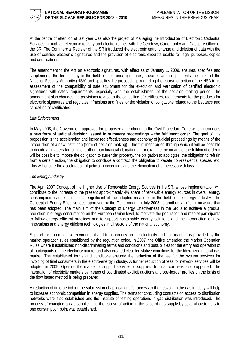

At the centre of attention of last year was also the project of Managing the Introduction of Electronic Cadastral Services through an electronic registry and electronic files with the Geodesy, Cartography and Cadastre Office of the SR. The Commercial Register of the SR introduced the electronic entry, change and deletion of data with the use of certified electronic signatures and the provision of electronic excerpts usable for legal purposes, copies and certifications.

The amendment to the Act on electronic signatures, with effect as of January 1, 2009, ensures, specifies and supplements the terminology in the field of electronic signatures, specifies and supplements the tasks of the National Security Authority (NSA) and specifies the proceedings regarding the course of action of the NSA in its assessment of the compatibility of safe equipment for the execution and verification of certified electronic signatures with safety requirements, especially with the establishment of the decision making period. The amendment also changes the provisions related to the cancelling of certificates, requirements for the products for electronic signatures and regulates infractions and fines for the violation of obligations related to the issuance and cancelling of certificates.

## *Law Enforcement*

In May 2008, the Government approved the proposed amendment to the Civil Procedure Code which introduces **a new form of judicial decision issued in summary proceedings – the fulfilment order**. The goal of this proposition is the acceleration and increased effectiveness and economy of judicial proceedings by means of the introduction of a new institution (form of decision making) – the fulfilment order, through which it will be possible to decide all matters for fulfilment other than financial obligations. For example, by means of the fulfilment order it will be possible to impose the obligation to surrender property, the obligation to apologize, the obligation to refrain from a certain action, the obligation to conclude a contract, the obligation to vacate non-residential spaces, etc. This will ensure the acceleration of judicial proceedings and the elimination of unnecessary delays.

## *The Energy Industry*

The April 2007 Concept of the Higher Use of Renewable Energy Sources in the SR, whose implementation will contribute to the increase of the present approximately 4% share of renewable energy sources in overall energy consumption, is one of the most significant of the adopted measures in the field of the energy industry. The Concept of Energy Effectiveness, approved by the Government in July 2008, is another significant measure that has been adopted. The main aim of the Concept of Energy Effectiveness in the SR is to achieve a gradual reduction in energy consumption on the European Union level, to motivate the population and market participants to follow energy efficient practices and to support sustainable energy solutions and the introduction of new innovations and energy efficient technologies in all sectors of the national economy.

Support for a competitive environment and transparency on the electricity and gas markets is provided by the market operation rules established by the regulation office. In 2007, the Office amended the Market Operation Rules where it established non-discriminating terms and conditions and possibilities for the entry and operation of all participants on the electricity market and also created clear legislative conditions for the liberalized natural gas market. The established terms and conditions ensured the reduction of the fee for the system services for invoicing of final consumers in the electro-energy industry. A further reduction of fees for network services will be adopted in 2009. Opening the market of support services to suppliers from abroad was also supported. The integration of electricity markets by means of coordinated explicit auctions at cross-border profiles on the basis of the flow based method is being prepared.

A reduction of time period for the submission of applications for access to the network in the gas industry will help to increase economic competition in energy supplies. The terms for concluding contracts on access to distribution networks were also established and the institute of testing operations in gas distribution was introduced. The process of changing a gas supplier and the course of action in the case of gas supply by several customers to one consumption point was established.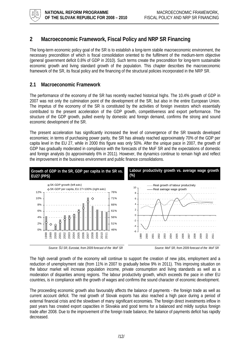<span id="page-11-0"></span>

# **2 Macroeconomic Framework, Fiscal Policy and NRP SR Financing**

The long-term economic policy goal of the SR is to establish a long-term stabile macroeconomic environment, the necessary precondition of which is fiscal consolidation oriented to the fulfilment of the medium-term objective (general government deficit 0.8% of GDP in 2010). Such terms create the precondition for long-term sustainable economic growth and living standard growth of the population. This chapter describes the macroeconomic framework of the SR, its fiscal policy and the financing of the structural policies incorporated in the NRP SR.

# **2.1 Macroeconomic Framework**

The performance of the economy of the SR has recently reached historical highs. The 10.4% growth of GDP in 2007 was not only the culmination point of the development of the SR, but also in the entire European Union. The impetus of the economy of the SR is constituted by the activities of foreign investors which essentially contributed to the present acceleration of the GDP growth, competitiveness and export performance. The structure of the GDP growth, pulled evenly by domestic and foreign demand, confirms the strong and sound economic development of the SR.

The present acceleration has significantly increased the level of convergence of the SR towards developed economies; in terms of purchasing power parity, the SR has already reached approximately 70% of the GDP per capita level in the EU 27, while in 2000 this figure was only 50%. After the unique pace in 2007, the growth of GDP has gradually moderated in compliance with the forecasts of the MoF SR and the expectations of domestic and foreign analysts (to approximately 6% in 2011). However, the dynamics continue to remain high and reflect the improvement in the business environment and public finance consolidations.



*Source: ŠÚ SR, Eurostat, from 2009 forecast of the MoF SR Source: MoF SR, from 2009 forecast of the MoF SR* 

The high overall growth of the economy will continue to support the creation of new jobs, employment and a reduction of unemployment rate (from 11% in 2007 to gradually below 9% in 2011). This improving situation on the labour market will increase population income, private consumption and living standards as well as a moderation of disparities among regions. The labour productivity growth, which exceeds the pace in other EU countries, is in compliance with the growth of wages and confirms the sound character of economic development.

The proceeding economic growth also favourably affects the balance of payments - the foreign trade as well as current account deficit. The real growth of Slovak exports has also reached a high pace during a period of external financial crisis and the slowdown of many significant economies. The foreign direct investments inflow in past years has created export capacities in Slovakia and good terms for a balanced and mildly surplus foreign trade after 2008. Due to the improvement of the foreign trade balance, the balance of payments deficit has rapidly decreased.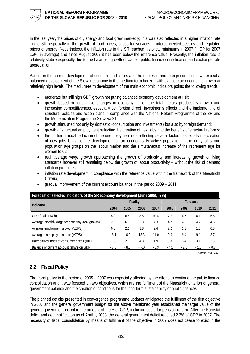<span id="page-12-0"></span>

In the last year, the prices of oil, energy and food grew markedly; this was also reflected in a higher inflation rate in the SR, especially in the growth of food prices, prices for services in interconnected sectors and regulated prices of energy. Nevertheless, the inflation rate in the SR reached historical minimums in 2007 (HICP for 2007 1.9% in average) and since August 2007 it has been below the reference value. Presently, the inflation rate is relatively stabile especially due to the balanced growth of wages, public finance consolidation and exchange rate appreciation.

Based on the current development of economic indicators and the domestic and foreign conditions, we expect a balanced development of the Slovak economy in the medium term horizon with stabile macroeconomic growth at relatively high levels. The medium-term development of the main economic indicators points the following trends:

- moderate but still high GDP growth not puting balanced economy development at risk;
- growth based on qualitative changes in economy on the total factors productivity growth and increasing competitiveness, especially by foreign direct investments effects and the implementing of structural policies and action plans in compliance with the National Reform Programme of the SR and the Modernization Programme Slovakia 21;
- growth stimulated not only by domestic (consumption and investments) but also by foreign demand;
- growth of structural employment reflecting the creation of new jobs and the benefits of structural reforms;
- the further gradual reduction of the unemployment rate reflecting several factors, especially the creation of new jobs but also the development of an economically active population – the entry of strong population age-groups on the labour market and the simultaneous increase of the retirement age for women to 62,
- real average wage growth approaching the growth of productivity and increasing growth of living standards however still remaining below the growth of labour productivity – without the risk of demand inflation pressures,
- inflation rate development in compliance with the reference value within the framework of the Maastricht Criteria,

| Forecast of selected indicators of the SR economy development (June 2008, in %) |                |        |        |        |          |        |        |        |  |  |
|---------------------------------------------------------------------------------|----------------|--------|--------|--------|----------|--------|--------|--------|--|--|
| Indicator                                                                       | <b>Reality</b> |        |        |        | Forecast |        |        |        |  |  |
|                                                                                 | 2004           | 2005   | 2006   | 2007   | 2008     | 2009   | 2010   | 2011   |  |  |
| GDP (real growth)                                                               | 5.2            | 6.6    | 8.5    | 10.4   | 7.7      | 6.5    | 6.1    | 5.8    |  |  |
| Average monthly wage for economy (real growth)                                  | 2.5            | 6.3    | 3.3    | 4.3    | 4.7      | 4.5    | 4.7    | 4.5    |  |  |
| Average employment growth (VZPS)                                                | 0.3            | 2.1    | 3.8    | 2.4    | 2.2      | 1.3    | 1.0    | 0.8    |  |  |
| Average unemployment rate (VZPS)                                                | 18.1           | 16.2   | 13.3   | 11.0   | 9.9      | 9.4    | 9.1    | 8.7    |  |  |
| Harmonized index of consumer prices (HICP)                                      | 7.5            | 2.8    | 4.3    | 1.9    | 3.8      | 3.4    | 3.1    | 3.5    |  |  |
| Balance of current account (share on GDP)                                       | $-7.8$         | $-8.5$ | $-7.0$ | $-5.3$ | $-4.1$   | $-2.5$ | $-1.5$ | $-0.7$ |  |  |

• gradual improvement of the current account balance in the period 2009 – 2011.

*Source: MoF SR* 

# **2.2 Fiscal Policy**

The fiscal policy in the period of 2005 – 2007 was especially affected by the efforts to continue the public finance consolidation and it was focused on two objectives, which are the fulfilment of the Maastricht criterion of general government balance and the creation of conditions for the long-term sustainability of public finances.

The planned deficits presented in convergence programme updates anticipated the fulfilment of the first objective in 2007 and the general government budget for the above mentioned year established the target value of the general government deficit in the amount of 2.9% of GDP, including costs for pension reform. After the Eurostat deficit and debt notification as of April 1, 2008, the general government deficit reached 2.2% of GDP in 2007. The necessity of fiscal consolidation by means of fulfilment of the objective in 2007 does not cease to exist in the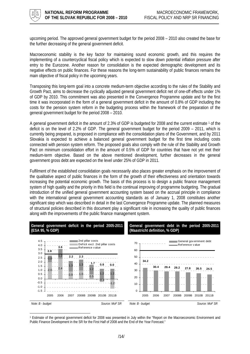

upcoming period. The approved general government budget for the period 2008 – 2010 also created the base for the further decreasing of the general government deficit.

Macroeconomic stability is the key factor for maintaining sound economic growth, and this requires the implementing of a countercyclical fiscal policy which is expected to slow down potential inflation pressure after entry to the Eurozone. Another reason for consolidation is the expected demographic development and its negative effects on public finances. For these reasons the long-term sustainability of public finances remains the main objective of fiscal policy in the upcoming years.

Transposing this long-term goal into a concrete medium-term objective according to the rules of the Stability and Growth Pact, aims to decrease the cyclically adjusted general government deficit net of one-off effects under 1% of GDP by 2010. This commitment was also presented in the Convergence Programme update and for the first time it was incorporated in the form of a general government deficit in the amount of 0.8% of GDP including the costs for the pension system reform in the budgeting process within the framework of the preparation of the general government budget for the period 2008 – 2010.

A general government deficit in the amount of 2.3% of GDP is budgeted for 2008 and the current estimate [1 o](#page-13-0)f the deficit is on the level of 2.2% of GDP. The general government budget for the period 2009 – 2011, which is currently being prepared, is proposed in compliance with the consolidation plans of the Government, and by 2011 Slovakia is expected to achieve a balanced general government budget for the first time including costs connected with pension system reform. The proposed goals also comply with the rule of the Stability and Growth Pact on minimum consolidation effort in the amount of 0.5% of GDP for countries that have not yet met their medium-term objective. Based on the above mentioned development, further decreases in the general government gross debt are expected on the level under 25% of GDP in 2011.

Fulfilment of the established consolidation goals necessarily also places greater emphasis on the improvement of the qualitative aspect of public finances in the form of the growth of their effectiveness and orientation towards increasing the potential economic growth. The basis of this process is to design a public finance management system of high quality and the priority in this field is the continual improving of programme budgeting. The gradual introduction of the unified general government accounting system based on the accrual principle in compliance with the international general government accounting standards as of January 1, 2008 constitutes another significant step which was described in detail in the last Convergence Programme update. The planned measures of structural policies described in this document play a significant role in increasing the quality of public finances along with the improvements of the public finance management system.



<span id="page-13-0"></span> <sup>1</sup> Estimate of the general government deficit for 2008 was presented in July within the "Report on the Macroeconomic Environment and Public Finance Development in the SR for the First Half of 2008 and the End of the Year Forecast."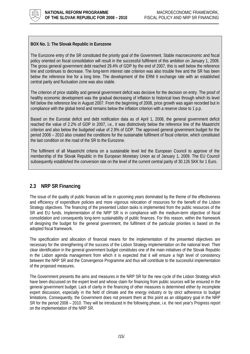<span id="page-14-0"></span>

## **BOX No. 1: The Slovak Republic in Eurozone**

The Eurozone entry of the SR constituted the priority goal of the Government. Stable macroeconomic and fiscal policy oriented on fiscal consolidation will result in the successful fulfilment of this ambition on January 1, 2009. The gross general government debt reached 29.4% of GDP by the end of 2007, this is well below the reference line and continues to decrease. The long-term interest rate criterion was also trouble free and the SR has been below the reference line for a long time. The development of the ERM II exchange rate with an established central parity and fluctuation zone was also stable.

The criterion of price stability and general government deficit was decisive for the decision on entry. The proof of healthy economic development was the gradual decreasing of inflation to historical lows through which its level fell below the reference line in August 2007. From the beginning of 2008, price growth was again recorded but in compliance with the global trend and remains below the inflation criterion with a reserve close to 1 p.p.

Based on the Eurostat deficit and debt notification data as of April 1, 2008, the general government deficit reached the value of 2.2% of GDP in 2007, i.e., it was distinctively below the reference line of the Maastricht criterion and also below the budgeted value of 2.9% of GDP. The approved general government budget for the period 2008 – 2010 also created the conditions for the sustainable fulfilment of fiscal criterion, which constituted the last condition on the road of the SR to the Eurozone.

The fulfilment of all Maastricht criteria on a sustainable level led the European Council to approve of the membership of the Slovak Republic in the European Monetary Union as of January 1, 2009. The EU Council subsequently established the conversion rate on the level of the current central parity of 30.126 SKK for 1 Euro.

# **2.3 NRP SR Financing**

The issue of the quality of public finances will be in upcoming years dominated by the theme of the effectiveness and efficiency of expenditure policies and more vigorous relocation of resources for the benefit of the Lisbon Strategy objectives. The financing of the presented Lisbon tasks is implemented from the public resources of the SR and EU funds. Implementation of the NRP SR is in compliance with the medium-term objective of fiscal consolidation and consequently long-term sustainability of public finances. For this reason, within the framework of designing the budget for the general government, the fulfilment of the particular priorities is based on the adopted fiscal framework.

The specification and allocation of financial means for the implementation of the presented objectives are necessary for the strengthening of the success of the Lisbon Strategy implementation on the national level. Their clear identification in the general government budget constitutes one of the main initiatives of the Slovak Republic in the Lisbon agenda management from which it is expected that it will ensure a high level of consistency between the NRP SR and the Convergence Programme and thus will contribute to the successful implementation of the proposed measures.

The Government presents the aims and measures in the NRP SR for the new cycle of the Lisbon Strategy which have been discussed on the expert level and whose claim for financing from public sources will be ensured in the general government budget. Lack of clarity in the financing of other measures is determined either by incomplete expert discussion, especially in the field of climate and the energy industry or by strict adherence to budget limitations. Consequently, the Government does not present them at this point as an obligatory goal in the NRP SR for the period 2008 – 2010. They will be introduced in the following phase, i.e. the next year's Progress report on the implementation of the NRP SR.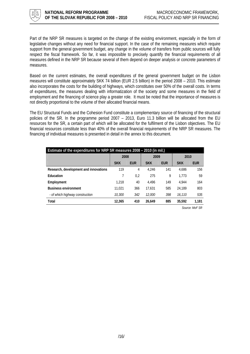

Part of the NRP SR measures is targeted on the change of the existing environment, especially in the form of legislative changes without any need for financial support. In the case of the remaining measures which require support from the general government budget, any change in the volume of transfers from public sources will fully respect the fiscal framework. So far, it was impossible to precisely quantify the financial requirements of all measures defined in the NRP SR because several of them depend on deeper analysis or concrete parameters of measures.

Based on the current estimates, the overall expenditures of the general government budget on the Lisbon measures will constitute approximately SKK 74 billion (EUR 2.5 billion) in the period 2008 – 2010. This estimate also incorporates the costs for the building of highways, which constitutes over 50% of the overall costs. In terms of expenditures, the measures dealing with informatization of the society and some measures in the field of employment and the financing of science play a greater role. It must be noted that the importance of measures is not directly proportional to the volume of their allocated financial means.

The EU Structural Funds and the Cohesion Fund constitute a complementary source of financing of the structural policies of the SR. In the programme period 2007 – 2013, Euro 11.3 billion will be allocated from the EU resources for the SR, a certain part of which will be allocated for the fulfilment of the Lisbon objectives. The EU financial resources constitute less than 40% of the overall financial requirements of the NRP SR measures. The financing of individual measures is presented in detail in the annex to this document.

| Estimate of the expenditures for NRP SR measures 2008 - 2010 (in mil.) |              |            |               |            |            |            |  |  |  |  |
|------------------------------------------------------------------------|--------------|------------|---------------|------------|------------|------------|--|--|--|--|
|                                                                        | 2008<br>2009 |            |               | 2010       |            |            |  |  |  |  |
|                                                                        | <b>SKK</b>   | <b>EUR</b> | <b>SKK</b>    | <b>EUR</b> | <b>SKK</b> | <b>EUR</b> |  |  |  |  |
| Research, development and innovations                                  | 119          | 4          | 4.246         | 141        | 4.686      | 156        |  |  |  |  |
| Education                                                              |              | 0,2        | 275           | 9          | 1,773      | 59         |  |  |  |  |
| Employment                                                             | 1.218        | 40         | 4.496         | 149        | 4.944      | 164        |  |  |  |  |
| <b>Business environment</b>                                            | 11.021       | 366        | 17.631        | 585        | 24.189     | 803        |  |  |  |  |
| - of which highway construction                                        | 10,300       | 342        | <i>12.000</i> | 398        | 16.110     | 535        |  |  |  |  |
| Total                                                                  | 12,365       | 410        | 26.649        | 885        | 35,592     | 1,181      |  |  |  |  |

*Source: MoF SR*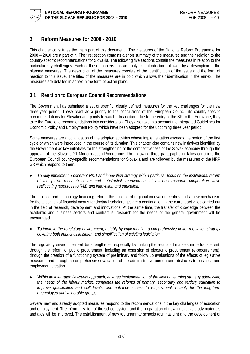<span id="page-16-0"></span>

# **3 Reform Measures for 2008 - 2010**

This chapter constitutes the main part of this document. The measures of the National Reform Programme for 2008 – 2010 are a part of it. The first section contains a short summary of the measures and their relation to the country-specific recommendations for Slovakia. The following five sections contain the measures in relation to the particular key challenges. Each of these chapters has an analytical introduction followed by a description of the planned measures. The description of the measures consists of the identification of the issue and the form of reaction to this issue. The titles of the measures are in bold which allows their identification in the annex. The measures are detailed in annex in the form of action plans.

# **3.1 Reaction to European Council Recommendations**

The Government has submitted a set of specific, clearly defined measures for the key challenges for the new three-year period. These react as a priority to the conclusions of the European Council, its country-specific recommendations for Slovakia and points to watch. In addition, due to the entry of the SR to the Eurozone, they take the Eurozone recommendations into consideration. They also take into account the Integrated Guidelines for Economic Policy and Employment Policy which have been adopted for the upcoming three year period.

Some measures are a continuation of the adopted activities whose implementation exceeds the period of the first cycle or which were introduced in the course of its duration. This chapter also contains new initiatives identified by the Government as key initiatives for the strengthening of the competitiveness of the Slovak economy through the approval of the Slovakia 21 Modernization Programme. The following three paragraphs in italics constitute the European Council country-specific recommendations for Slovakia and are followed by the measures of the NRP SR which respond to them.

• *To duly implement a coherent R&D and innovation strategy with a particular focus on the institutional reform of the public research sector and substantial improvement of business-research cooperation while reallocating resources to R&D and innovation and education.* 

The science and technology financing reform, the building of regional innovation centres and a new mechanism for the allocation of financial means for doctoral scholarships are a continuation in the current activities carried out in the field of research, development and innovations. At the same time, the transfer of knowledge between the academic and business sectors and contractual research for the needs of the general government will be encouraged.

• *To improve the regulatory environment, notably by implementing a comprehensive better regulation strategy covering both impact assessment and simplification of existing legislation.* 

The regulatory environment will be strengthened especially by making the regulated markets more transparent, through the reform of public procurement, including an extension of electronic procurement (e-procurement), through the creation of a functioning system of preliminary and follow up evaluations of the effects of legislative measures and through a comprehensive evaluation of the administrative burden and obstacles to business and employment creation.

• *Within an integrated flexicurity approach, ensures implementation of the lifelong learning strategy addressing the needs of the labour market, completes the reforms of primary, secondary and tertiary education to improve qualification and skill levels, and enhance access to employment, notably for the long-term unemployed and vulnerable groups.* 

Several new and already adopted measures respond to the recommendations in the key challenges of education and employment. The informatization of the school system and the preparation of new innovative study materials and aids will be improved. The establishment of new top grammar schools (gymnasium) and the development of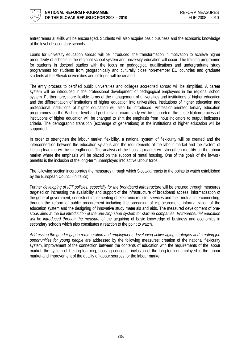

entrepreneurial skills will be encouraged. Students will also acquire basic business and the economic knowledge at the level of secondary schools.

Loans for university education abroad will be introduced, the transformation in motivation to achieve higher productivity of schools in the regional school system and university education will occur. The training programme for students in doctoral studies with the focus on pedagogical qualifications and undergraduate study programmes for students from geographically and culturally close non-member EU countries and graduate students at the Slovak universities and colleges will be created.

The entry process to certified public universities and colleges accredited abroad will be simplified. A career system will be introduced in the professional development of pedagogical employees in the regional school system. Furthermore, more flexible forms of the management of universities and institutions of higher education and the differentiation of institutions of higher education into universities, institutions of higher education and professional institutions of higher education will also be introduced. Profession-oriented tertiary education programmes on the Bachelor level and post-leaving exam study will be supported, the accreditation process of institutions of higher education will be changed to shift the emphasis from input indicators to output indicators criteria. The demographic transition (exchange of generations) at the institutions of higher education will be supported.

In order to strengthen the labour market flexibility, a national system of flexicurity will be created and the interconnection between the education syllabus and the requirements of the labour market and the system of lifelong learning will be strengthened. The analysis of the housing market will strengthen mobility on the labour market where the emphasis will be placed on the support of rental housing. One of the goals of the in-work benefits is the inclusion of the long-term unemployed into active labour force.

The following section incorporates the measures through which Slovakia reacts to the points to watch established by the European Council (in italics).

Further *developing of ICT policies, especially for the broadband infrastructure* will be ensured through measures targeted on increasing the availability and support of the infrastructure of broadband access, informatization of the general government, consistent implementing of electronic register services and their mutual interconnecting, through the reform of public procurement including the spreading of e-procurement, informatization of the education system and the designing of innovative study materials and aids. The measured development of onestops aims at the *full introduction of the one-stop shop system for start-up companies*. *Entrepreneurial education will be introduced through the measure* of the acquiring of basic knowledge of business and economics in secondary schools which also constitutes a reaction to the point to watch.

*Addressing the gender gap in remuneration and employment, developing active aging strategies and creating job opportunities for young people* are addressed by the following measures: creation of the national flexicurity system, improvement of the connection between the contents of education with the requirements of the labour market, the system of lifelong learning, housing concepts, inclusion of the long-term unemployed in the labour market and improvement of the quality of labour sources for the labour market.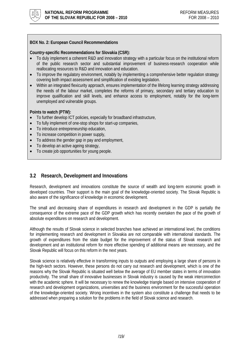<span id="page-18-0"></span>

## **BOX No. 2: European Council Recommendations**

## **Country-specific Recommendations for Slovakia (CSR):**

- To duly implement a coherent R&D and innovation strategy with a particular focus on the institutional reform of the public research sector and substantial improvement of business-research cooperation while reallocating resources to R&D and innovation and education.
- To improve the regulatory environment, notably by implementing a comprehensive better regulation strategy covering both impact assessment and simplification of existing legislation.
- Within an integrated flexicurity approach, ensures implementation of the lifelong learning strategy addressing the needs of the labour market, completes the reforms of primary, secondary and tertiary education to improve qualification and skill levels, and enhance access to employment, notably for the long-term unemployed and vulnerable groups.

## **Points to watch (PTW):**

- To further develop ICT policies, especially for broadband infrastructure,
- To fully implement of one-stop shops for start-up companies,
- To introduce entrepreneurship education,
- To increase competition in power supply,
- To address the gender gap in pay and employment,
- To develop an active ageing strategy,
- To create job opportunities for young people.

## **3.2 Research, Development and Innovations**

Research, development and innovations constitute the source of wealth and long-term economic growth in developed countries. Their support is the main goal of the knowledge-oriented society. The Slovak Republic is also aware of the significance of knowledge in economic development.

The small and decreasing share of expenditures in research and development in the GDP is partially the consequence of the extreme pace of the GDP growth which has recently overtaken the pace of the growth of absolute expenditures on research and development.

Although the results of Slovak science in selected branches have achieved an international level, the conditions for implementing research and development in Slovakia are not comparable with international standards. The growth of expenditures from the state budget for the improvement of the status of Slovak research and development and an institutional reform for more effective spending of additional means are necessary, and the Slovak Republic will focus on this reform in the next years.

Slovak science is relatively effective in transforming inputs to outputs and employing a large share of persons in the high-tech sectors. However, these persons do not carry out research and development, which is one of the reasons why the Slovak Republic is situated well below the average of EU member states in terms of innovation productivity. The small share of innovative businesses in Slovak industry is caused by the weak interconnection with the academic sphere. It will be necessary to renew the knowledge triangle based on intensive cooperation of research and development organizations, universities and the business environment for the successful operation of the knowledge-oriented society. Wrong incentives in the system also constitute a challenge that needs to be addressed when preparing a solution for the problems in the field of Slovak science and research.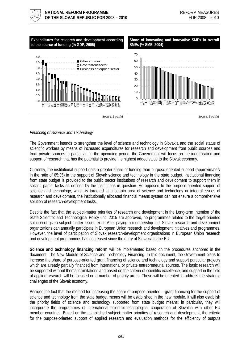

## *Financing of Science and Technology*

The Government intends to strengthen the level of science and technology in Slovakia and the social status of scientific workers by means of increased expenditures for research and development from public sources and from private sources in particular. In the upcoming period, the Government will focus on the identification and support of research that has the potential to provide the highest added value to the Slovak economy.

Currently, the institutional support gets a greater share of funding than purpose-oriented support (approximately in the ratio of 65:35) in the support of Slovak science and technology in the state budget. Institutional financing from state budget is provided to the public sector institutions of research and development to support them in solving partial tasks as defined by the institutions in question. As opposed to the purpose-oriented support of science and technology, which is targeted at a certain area of science and technology or integral issues of research and development, the institutionally allocated financial means system can not ensure a comprehensive solution of research-development tasks.

Despite the fact that the subject-matter priorities of research and development in the Long-term Intention of the State Scientific and Technological Policy until 2015 are approved, no programmes related to the target-oriented solution of given subject matter issues exist. After paying a membership fee, Slovak research and development organizations can annually participate in European Union research and development initiatives and programmes. However, the level of participation of Slovak research-development organizations in European Union research and development programmes has decreased since the entry of Slovakia to the EU.

**Science and technology financing reform** will be implemented based on the procedures anchored in the document, The New Module of Science and Technology Financing. In this document, the Government plans to increase the share of purpose-oriented grant financing of science and technology and support particular projects which are already partially financed from international or private entrepreneurial sources. The basic research will be supported without thematic limitations and based on the criteria of scientific excellence, and support in the field of applied research will be focused on a number of priority areas. These will be oriented to address the strategic challenges of the Slovak economy.

Besides the fact that the method for increasing the share of purpose-oriented – grant financing for the support of science and technology from the state budget means will be established in the new module, it will also establish the priority fields of science and technology supported from state budget means; in particular, they will incorporate the programmes of international scientific-technological cooperation of Slovakia with other EU member countries. Based on the established subject matter priorities of research and development, the criteria for the purpose-oriented support of applied research and evaluation methods for the efficiency of outputs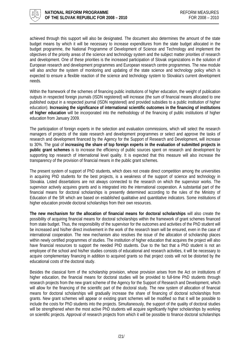

achieved through this support will also be designated. The document also determines the amount of the state budget means by which it will be necessary to increase expenditures from the state budget allocated in the budget programme, the National Programme of Development of Science and Technology and implement the objectives of the priority areas of the science and technology system and the subject matter priorities of research and development. One of these priorities is the increased participation of Slovak organizations in the solution of European research and development programmes and European research centre programmes. The new module will also anchor the system of monitoring and updating of the state science and technology policy which is expected to ensure a flexible reaction of the science and technology system to Slovakia's current development needs.

Within the framework of the schemes of financing public institutions of higher education, the weight of publication outputs in respected foreign journals (ISDN registered) will increase (the sum of financial means allocated to one published output in a respected journal (ISDN registered) and provided subsidies to a public institution of higher education). **Increasing the significance of international scientific outcomes in the financing of institutions of higher education** will be incorporated into the methodology of the financing of public institutions of higher education from January 2009.

The participation of foreign experts in the selection and evaluation commissions, which will select the research managers of projects of the state research and development programmes or select and approve the tasks of research and development financed by the Agency for the Support of Research and Development, will increase to 30%. The goal of **increasing the share of top foreign experts in the evaluation of submitted projects in public grant schemes** is to increase the efficiency of public sources spent on research and development by supporting top research of international level quality. It is expected that this measure will also increase the transparency of the provision of financial means in the public grant schemes.

The present system of support of PhD students, which does not create direct competition among the universities in acquiring PhD students for the best projects, is a weakness of the support of science and technology in Slovakia. Listed dissertations are not always connected to the research on which the supervisor works. The supervisor actively acquires grants and is integrated into the international cooperation. A substantial part of the financial means for doctoral scholarships is presently determined according to the rules of the Ministry of Education of the SR which are based on established qualitative and quantitative indicators. Some institutions of higher education provide doctoral scholarships from their own resources.

**The new mechanism for the allocation of financial means for doctoral scholarships** will also create the possibility of acquiring financial means for doctoral scholarships within the framework of grant schemes financed from state budget. Thus, the responsibility of the supervisor for the outcomes and activities of the PhD student will be increased and his/her direct involvement in the work of the research team will be ensured, even in the case of international cooperation. The new mechanism also resolves the issue of the allocation of scholarship places within newly certified programmes of studies. The institution of higher education that acquires the project will also have financial resources to support the needed PhD students. Due to the fact that a PhD student is not an employee of the school and his/her studies consists of educational and research activities, it will be necessary to acquire complementary financing in addition to acquired grants so that project costs will not be distorted by the educational costs of the doctoral study.

Besides the classical form of the scholarship provision, whose provision arises from the Act on institutions of higher education, the financial means for doctoral studies will be provided to full-time PhD students through research projects from the new grant scheme of the Agency for the Support of Research and Development, which will allow for the financing of the scientific part of the doctoral study. The new system of allocation of financial means for doctoral scholarships will gradually increase the share of financing of doctoral scholarships from grants. New grant schemes will appear or existing grant schemes will be modified so that it will be possible to include the costs for PhD students into the projects. Simultaneously, the support of the quality of doctoral studies will be strengthened when the most active PhD students will acquire significantly higher scholarships by working on scientific projects. Approval of research projects from which it will be possible to finance doctoral scholarships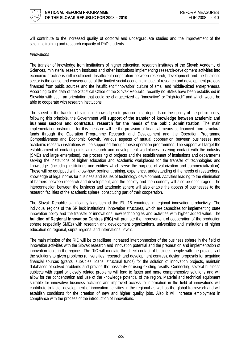

will contribute to the increased quality of doctoral and undergraduate studies and the improvement of the scientific training and research capacity of PhD students.

#### *Innovations*

The transfer of knowledge from institutions of higher education, research institutes of the Slovak Academy of Sciences, ministerial research institutes and other institutions implementing research-development activities into economic practice is still insufficient. Insufficient cooperation between research, development and the business sector is the cause and consequence of the limited social-economic impact of research and development projects financed from public sources and the insufficient "innovation" culture of small and middle-sized entrepreneurs. According to the data of the Statistical Office of the Slovak Republic, recently no SMEs have been established in Slovakia with such an orientation that could be characterized as "innovative" or "high-tech" and which would be able to cooperate with research institutions.

The speed of the transfer of scientific knowledge into practice also depends on the quality of the public policy; following this principle, the Government **will support of the transfer of knowledge between academic and business sectors and contractual research for the needs of the public administration**. The main implementation instrument for this measure will be the provision of financial means co-financed from structural funds through the Operation Programme Research and Development and the Operation Programme Competitiveness and Economic Growth. Various aspects of mutual cooperation between businesses and academic research institutions will be supported through these operation programmes. The support will target the establishment of contact points at research and development workplaces fostering contact with the industry (SMEs and large enterprises), the processing of projects and the establishment of institutions and departments serving the institutions of higher education and academic workplaces for the transfer of technologies and knowledge. (including institutions and entities which serve the purpose of valorization and commercialization). These will be equipped with know-how, pertinent training, experience, understanding of the needs of researchers, knowledge of legal norms for business and issues of technology development. Activities leading to the elimination of barriers between research and development, and the society and the economy will also be encouraged. The interconnection between the business and academic sphere will also enable the access of businesses to the research facilities of the academic sphere, constituting part of their cooperation.

The Slovak Republic significantly lags behind the EU 15 countries in regional innovation productivity. The individual regions of the SR lack institutional innovation structures, which are capacities for implementing state innovation policy and the transfer of innovations, new technologies and activities with higher added value. The **building of Regional Innovation Centres (RIC)** will promote the improvement of cooperation of the production sphere (especially SMEs) with research and development organizations, universities and institutions of higher education on regional, supra-regional and international levels.

The main mission of the RIC will be to facilitate increased interconnection of the business sphere in the field of innovation activities with the Slovak research and innovation potential and the preparation and implementation of innovation tools in the regions. The RIC will mediate the direct contact of business people with the providers of the solutions to given problems (universities, research and development centres), design proposals for acquiring financial sources (grants, subsidies, loans, structural funds) for the solution of innovation projects, maintain databases of solved problems and provide the possibility of using existing results. Connecting several business subjects with equal or closely related problems will lead to faster and more comprehensive solutions and will allow for the concentration and use of the knowledge potential of the region. Material and technical equipment suitable for innovative business activities and improved access to information in the field of innovations will contribute to faster development of innovation activities in the regional as well as the global framework and will establish conditions for the creation of new and higher quality jobs. Also it will increase employment in compliance with the process of the introduction of innovations.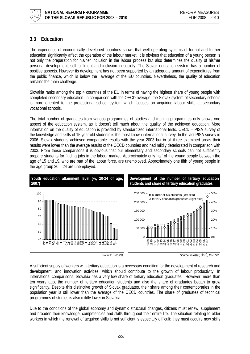<span id="page-22-0"></span>

# **3.3 Education**

The experience of economically developed countries shows that well operating systems of formal and further education significantly affect the operation of the labour market. It is obvious that education of a young person is not only the preparation for his/her inclusion in the labour process but also determines the quality of his/her personal development, self-fulfilment and inclusion in society. The Slovak education system has a number of positive aspects. However its development has not been supported by an adequate amount of expenditures from the public finance, which is below the average of the EU countries. Nevertheless, the quality of education remains the main challenge.

Slovakia ranks among the top 4 countries of the EU in terms of having the highest share of young people with completed secondary education. In comparison with the OECD average, the Slovak system of secondary schools is more oriented to the professional school system which focuses on acquiring labour skills at secondary vocational schools.

The total number of graduates from various programmes of studies and training programmes only shows one aspect of the education system, as it doesn't tell much about the quality of the achieved education. More information on the quality of education is provided by standardized international tests. OECD – PISA survey of the knowledge and skills of 15 year old students is the most known international survey. In the last PISA survey in 2006, Slovak students achieved comparable results with the year 2003 but in all three examined areas their results were lower than the average results of the OECD countries and had mildly deteriorated in comparison with 2003. From these comparisons it is obvious that our elementary and secondary schools can not sufficiently prepare students for finding jobs in the labour market. Approximately only half of the young people between the age of 15 and 19, who are part of the labour force, are unemployed. Approximately one fifth of young people in the age group 20 – 24 are unemployed.



*Source: Eurostat Source: Infostat, ÚIPŠ, MoF SR* 

A sufficient supply of workers with tertiary education is a necessary condition for the development of research and development, and innovation activities, which should contribute to the growth of labour productivity. In international comparisons, Slovakia has a very low share of tertiary education graduates. However, more than ten years ago, the number of tertiary education students and also the share of graduates began to grow significantly. Despite this distinctive growth of Slovak graduates, their share among their contemporaries in the population year is still lower than the average of the OECD countries. The share of graduates of technical programmes of studies is also mildly lower in Slovakia.

Due to the conditions of the global economy and dynamic structural changes, citizens must renew, supplement and broaden their knowledge, competencies and skills throughout their entire life. The situation relating to older workers in which the renewal of acquired skills is not sufficient is especially difficult; they must acquire new skills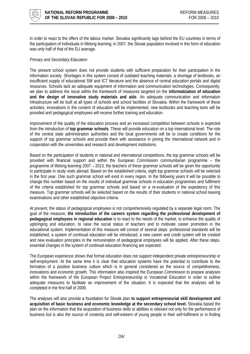

in order to react to the offers of the labour market. Slovakia significantly lags behind the EU countries in terms of the participation of individuals in lifelong learning; in 2007, the Slovak population involved in this form of education was only half of that of the EU average.

## *Primary and Secondary Education*

The present school system does not provide students with sufficient preparation for their participation in the information society. Shortages in this system consist of outdated teaching materials, a shortage of textbooks, an insufficient supply of educational SW and ICT literature and the absence of central education portals and digital resources. Schools lack an adequate equipment of information and communication technologies. Consequently, we plan to address the issue within the framework of measures targeted on the **informatization of education and the design of innovative study materials and aids**. An adequate communication and information infrastructure will be built at all types of schools and school facilities of Slovakia. Within the framework of these activities, innovations in the content of education will be implemented, new textbooks and teaching texts will be provided and pedagogical employees will receive further training and education.

Improvement of the quality of the education process and an increased competition between schools is expected from the introduction of **top grammar schools**. These will provide education on a top international level. The role of the central state administration authorities and the local governments will be to create conditions for the support of top grammar schools and provide them with assistance in joining the international network and in cooperation with the universities and research and development institutions.

Based on the participation of students in national and international competitions, the top grammar schools will be provided with financial support and within the European Commission communitarian programme – the programme of lifelong learning 2007 – 2013, the teachers of these grammar schools will be given the opportunity to participate in study visits abroad. Based on the established criteria, eight top grammar schools will be selected in the first year. One such grammar school will exist in every region. In the following years it will be possible to change this number based on the results of individual grammar schools in education programmes and fulfilment of the criteria established for top grammar schools and based on a re-evaluation of the expediency of this measure. Top grammar schools will be selected based on the results of their students in national school leaving examinations and other established objective criteria.

At present, the status of pedagogical employees is not comprehensively regulated by a separate legal norm. The goal of the measure, **the introduction of the careers system regarding the professional development of pedagogical employees in regional education** is to react to the needs of the market, to enhance the quality of upbringing and education, to raise the social status of teachers and to motivate career promotion in the educational system. Implementation of this measure will consist of several steps: professional standards will be established, a system of continual education will be introduced, a new career and credit system will be created and new evaluation principles in the remuneration of pedagogical employees will be applied. After these steps, essential changes in the system of continual education financing are expected.

The European experience shows that formal education does not support independent private entrepreneurship or self-employment. At the same time it is clear that education systems have the potential to contribute to the formation of a positive business culture which is in general considered as the source of competitiveness, innovations and economic growth. This information also inspired the European Commission to prepare analyses within the framework of the European Project Entrepreneurship in Vocational Education in order to outline adequate measures to facilitate an improvement of the situation. It is expected that the analyses will be completed in the first half of 2009.

The analyses will also provide a foundation for Slovak plan **to support entrepreneurial skill development and acquisition of basic business and economic knowledge at the secondary school level.** Slovakia based the plan on the information that the acquisition of business skills or abilities is relevant not only for the performance of business but is also the source of creativity and self-esteem of young people in their self-fulfilment or in finding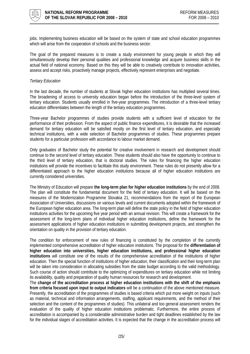

jobs. Implementing business education will be based on the system of state and school education programmes which will arise from the cooperation of schools and the business sector.

The goal of the prepared measures is to create a study environment for young people in which they will simultaneously develop their personal qualities and professional knowledge and acquire business skills in the actual field of national economy. Based on this they will be able to creatively contribute to innovation activities, assess and accept risks, proactively manage projects, effectively represent enterprises and negotiate.

#### *Tertiary Education*

In the last decade, the number of students at Slovak higher education institutions has multiplied several times. The broadening of access to university education began before the introduction of the three-level system of tertiary education. Students usually enrolled in five-year programmes. The introduction of a three-level tertiary education differentiates between the length of the tertiary education programmes.

Three-year Bachelor programmes of studies provide students with a sufficient level of education for the performance of their profession. From the aspect of public finance expenditures, it is desirable that the increased demand for tertiary education will be satisfied mostly on the first level of tertiary education, and especially technical institutions, with a wide selection of Bachelor programmes of studies. These programmes prepare students for a particular profession with accordance to labour market demand.

Only graduates of Bachelor study the potential for creative involvement in research and development should continue to the second level of tertiary education. These students should also have the opportunity to continue to the third level of tertiary education, that is doctoral studies. The rules for financing the higher education institutions will provide the incentives to facilitate this study environment. These rules do not presently allow for a differentiated approach to the higher education institutions because all of higher education institutions are currently considered universities.

The Ministry of Education will prepare **the long-term plan for higher education institutions** by the end of 2008. The plan will constitute the fundamental document for the field of tertiary education. It will be based on the measures of the Modernization Programme Slovakia 21, recommendations from the report of the European Association of Universities, discussions on various levels and current documents adopted within the framework of the European higher education area. The long-term plan will define the state policy in the field of higher education institutions activities for the upcoming five year period with an annual revision. This will create a framework for the assessment of the long-term plans of individual higher education institutions, define the framework for the assessment applications of higher education institutions in submitting development projects, and strengthen the orientation on quality in the provision of tertiary education.

The condition for enforcement of new rules of financing is constituted by the completion of the currently implemented comprehensive accreditation of higher education institutions. The proposal for the **differentiation of higher education into universities, higher education institutions, and professional higher education institutions** will constitute one of the results of the comprehensive accreditation of the institutions of higher education. Then the special function of institutions of higher education, their classification and their long-term plan will be taken into consideration in allocating subsidies from the state budget according to the valid methodology. Such course of action should contribute to the optimizing of expenditures on tertiary education while not limiting its availability, quality and preparation of quality human resources for research and development.

The **change of the accreditation process at higher education institutions with the shift of the emphasis from criteria focused upon input to output indicators** will be a continuation of the above mentioned measure. Presently, the accreditation of the programmes of studies is based criteria which put more weight on inputs (such as material, technical and information arrangements, staffing, applicant requirements, and the method of their selection and the content of the programmes of studies). This unilateral and too general assessment renders the evaluation of the quality of higher education institutions problematic. Furthermore, the entire process of accreditation is accompanied by a considerable administrative burden and tight deadlines established by the law for the individual stages of accreditation activities. It is expected that the change in the accreditation process will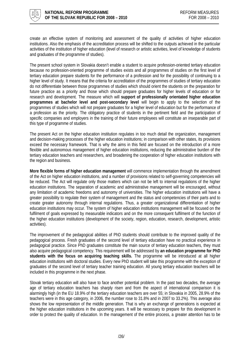

create an effective system of monitoring and assessment of the quality of activities of higher education institutions. Also the emphasis of the accreditation process will be shifted to the outputs achieved in the particular activities of the institution of higher education (level of research or artistic activities, level of knowledge of students and graduates of the programme of studies).

The present school system in Slovakia doesn't enable a student to acquire profession-oriented tertiary education because no profession-oriented programme of studies exists and all programmes of studies on the first level of tertiary education prepare students for the performance of a profession and for the possibility of continuing to a higher level of study. It means that the criteria for accreditation of the programmes of studies of tertiary education do not differentiate between those programmes of studies which should orient the students on the preparation for future practice as a priority and those which should prepare graduates for higher levels of education or for research and development. The measure which will **support of professionally orientated higher education programmes at bachelor level and post-secondary level** will begin to apply to the selection of the programmes of studies which will not prepare graduates for a higher level of education but for the performance of a profession as the priority. The obligatory practice of students in the pertinent field and the participation of specific companies and employers in the training of their future employees will constitute an inseparable part of this type of programme of studies.

The present Act on the higher education institution regulates in too much detail the organization, management and decision-making processes of the higher education institutions; in comparison with other states, its provisions exceed the necessary framework. That is why the aims in this field are focused on the introduction of a more flexible and autonomous management of higher education institutions, reducing the administrative burden of the tertiary education teachers and researchers, and broadening the cooperation of higher education institutions with the region and business.

**More flexible forms of higher education management** will commence implementation through the amendment of the Act on higher education institutions, and a number of provisions related to self-governing competencies will be reduced. The Act will regulate only those matters which can not be left to internal regulations of the higher education institutions. The separation of academic and administrative management will be encouraged, without any limitation of academic freedoms and autonomy of universities. The higher education institutions will have a greater possibility to regulate their system of management and the status and competencies of their parts and to create greater autonomy through internal regulations. Thus, a greater organizational differentiation of higher education institutions may occur. The system of higher education institutions management will be focused on the fulfilment of goals expressed by measurable indicators and on the more consequent fulfilment of the function of the higher education institutions (development of the society, region, education, research, development, artistic activities).

The improvement of the pedagogical abilities of PhD students should contribute to the improved quality of the pedagogical process. Fresh graduates of the second level of tertiary education have no practical experience in pedagogical practice. Since PhD graduates constitute the main source of tertiary education teachers, they must also acquire pedagogical competency. This requirement will be addressed by **an education programme for PhD students with the focus on acquiring teaching skills.** The programme will be introduced at all higher education institutions with doctoral studies. Every new PhD student will take this programme with the exception of graduates of the second level of tertiary teacher training education. All young tertiary education teachers will be included in this programme in the next phase.

Slovak tertiary education will also have to face another potential problem. In the past two decades, the average age of tertiary education teachers has sharply risen and from the aspect of international comparison it is alarmingly high (in the EU 18.9% of the tertiary education teachers are over 55; in Slovakia in 2005, 28.9% of the teachers were in this age category, in 2006, the number rose to 31.8% and in 2007 to 33.2%). This average also shows the low representation of the middle generation. That is why an exchange of generations is expected at the higher education institutions in the upcoming years. It will be necessary to prepare for this development in order to protect the quality of education. In the management of the entire process, a greater attention has to be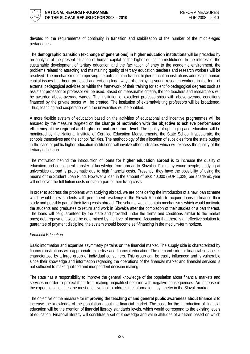

devoted to the requirements of continuity in transition and stabilization of the number of the middle-aged pedagogues.

**The demographic transition (exchange of generations) in higher education institutions** will be preceded by an analysis of the present situation of human capital at the higher education institutions. In the interest of the sustainable development of tertiary education and the facilitation of entry to the academic environment, the problems related to attracting and maintaining quality of tertiary education teachers and research workers will be resolved. The mechanisms for improving the policies of individual higher education institutions addressing human capital issues has been proposed and existing legal ways of employing young research workers in the form of external pedagogical activities or within the framework of their training for scientific-pedagogical degrees such as assistant professor or professor will be used. Based on measurable criteria, the top teachers and researchers will be awarded above-average wages. The institution of excellent professorships with above-average conditions financed by the private sector will be created. The institution of external/visiting professors will be broadened. Thus, teaching and cooperation with the universities will be enabled.

A more flexible system of education based on the activities of educational and incentive programmes will be ensured by the measure targeted on the **change of motivation with the objective to achieve performance efficiency at the regional and higher education school level**. The quality of upbringing and education will be monitored by the National Institute of Certified Education Measurements, the State School Inspectorate, the schools themselves and the school facilities. The methodology of the allocation of subsidies from the state budget in the case of public higher education institutions will involve other indicators which will express the quality of the tertiary education.

The motivation behind the introduction of **loans for higher education abroad** is to increase the quality of education and consequent transfer of knowledge from abroad to Slovakia. For many young people, studying at universities abroad is problematic due to high financial costs. Presently, they have the possibility of using the means of the Student Loan Fund. However a loan in the amount of SKK 40,000 (EUR 1,328) per academic year will not cover the full tuition costs or even a part of their living costs.

In order to address the problems with studying abroad, we are considering the introduction of a new loan scheme which would allow students with permanent residency in the Slovak Republic to acquire loans to finance their study and possibly part of their living costs abroad. The scheme would contain mechanisms which would motivate the students and graduates to return and work in Slovakia after the completion of their studies or a part thereof. The loans will be guaranteed by the state and provided under the terms and conditions similar to the market ones; debt repayment would be determined by the level of income. Assuming that there is an effective solution to guarantee of payment discipline, the system should become self-financing in the medium-term horizon.

## *Financial Education*

Basic information and expertise asymmetry pertains on the financial market. The supply side is characterized by financial institutions with appropriate expertise and financial education. The demand side for financial services is characterized by a large group of individual consumers. This group can be easily influenced and is vulnerable since their knowledge and information regarding the operations of the financial market and financial services is not sufficient to make qualified and independent decision making.

The state has a responsibility to improve the general knowledge of the population about financial markets and services in order to protect them from making unqualified decision with negative consequences. An increase in the expertise constitutes the most effective tool to address the information asymmetry in the Slovak market.

The objective of the measure for **improving the teaching of and general public awareness about finance** is to increase the knowledge of the population about the financial market. The basis for the introduction of financial education will be the creation of financial literacy standards levels, which would correspond to the existing levels of education. Financial literacy will constitute a set of knowledge and value attitudes of a citizen based on which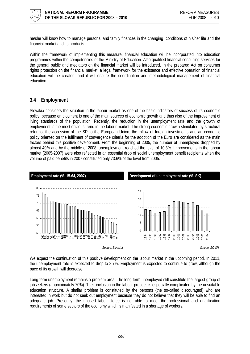<span id="page-27-0"></span>

he/she will know how to manage personal and family finances in the changing conditions of his/her life and the financial market and its products.

Within the framework of implementing this measure, financial education will be incorporated into education programmes within the competencies of the Ministry of Education. Also qualified financial consulting services for the general public and mediators on the financial market will be introduced. In the prepared Act on consumer rights protection on the financial market**,** a legal framework for the existence and effective operation of financial education will be created, and it will ensure the coordination and methodological management of financial education.

# **3.4 Employment**

Slovakia considers the situation in the labour market as one of the basic indicators of success of its economic policy, because employment is one of the main sources of economic growth and thus also of the improvement of living standards of the population. Recently, the reduction in the unemployment rate and the growth of employment is the most obvious trend in the labour market. The strong economic growth stimulated by structural reforms, the accession of the SR to the European Union, the inflow of foreign investments and an economic policy oriented on the fulfilment of convergence criteria for the adoption of the Euro are considered as the main factors behind this positive development. From the beginning of 2005, the number of unemployed dropped by almost 40% and by the middle of 2008, unemployment reached the level of 10.3%. Improvements in the labour market (2005-2007) were also reflected in an essential drop of social unemployment benefit recipients when the volume of paid benefits in 2007 constituted only 73.6% of the level from 2005.



We expect the continuation of this positive development on the labour market in the upcoming period. In 2011, the unemployment rate is expected to drop to 8.7%. Employment is expected to continue to grow, although the pace of its growth will decrease.

Long-term unemployment remains a problem area. The long-term unemployed still constitute the largest group of jobseekers (approximately 70%). Their inclusion in the labour process is especially complicated by the unsuitable education structure. A similar problem is constituted by the persons (the so-called discouraged) who are interested in work but do not seek out employment because they do not believe that they will be able to find an adequate job. Presently, the unused labour force is not able to meet the professional and qualification requirements of some sectors of the economy which is manifested in a shortage of workers.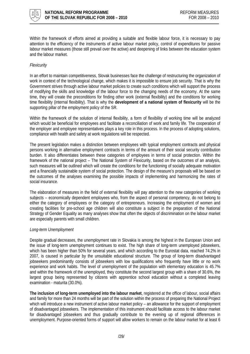

Within the framework of efforts aimed at providing a suitable and flexible labour force, it is necessary to pay attention to the efficiency of the instruments of active labour market policy, control of expenditures for passive labour market measures (those still prevail over the active) and deepening of links between the education system and the labour market.

## *Flexicurity*

In an effort to maintain competitiveness, Slovak businesses face the challenge of restructuring the organization of work in context of the technological change, which makes it is impossible to ensure job security. That is why the Government strives through active labour market policies to create such conditions which will support the process of modifying the skills and knowledge of the labour force to the changing needs of the economy. At the same time, they will create the preconditions for finding other work (external flexibility) and the conditions for working time flexibility (internal flexibility). That is why the **development of a national system of flexicurity** will be the supporting pillar of the employment policy of the SR.

Within the framework of the solution of internal flexibility, a form of flexibility of working time will be analyzed which would be beneficial for employees and facilitate a reconciliation of work and family life. The cooperation of the employer and employee representatives plays a key role in this process. In the process of adopting solutions, compliance with health and safety at work regulations will be respected.

The present legislation makes a distinction between employees with typical employment contracts and physical persons working in alternative employment contracts in terms of the amount of their social security contribution burden. It also differentiates between these categories of employees in terms of social protection. Within the framework of the national project – The National System of Flexicurity, based on the outcomes of an analysis, such measures will be outlined which will create the conditions for the functioning of socially adequate motivation and a financially sustainable system of social protection. The design of the measure's proposals will be based on the outcomes of the analyses examining the possible impacts of implementing and harmonizing the rates of social insurance.

The elaboration of measures in the field of external flexibility will pay attention to the new categories of working subjects – economically dependent employees who, from the aspect of personal competency, do not belong to either the category of employees or the category of entrepreneurs. Increasing the employment of women and creating facilities for pre-school age children will also constitute a subject in the preparation of the National Strategy of Gender Equality as many analyses show that often the objects of discrimination on the labour market are especially parents with small children.

## *Long-term Unemployment*

Despite gradual decreases, the unemployment rate in Slovakia is among the highest in the European Union and the issue of long-term unemployment continues to exist. The high share of long-term unemployed jobseekers, which has been higher than 50% for several years, and which according to the Eurostat data, reached 74.2% in 2007, is caused in particular by the unsuitable educational structure. The group of long-term disadvantaged jobseekers predominantly consists of jobseekers with low qualifications who frequently have little or no work experience and work habits. The level of unemployment of the population with elementary education is 45.7% and within the framework of the unemployed, they constitute the second largest group with a share of 30.6%, the largest group being represented by citizens with apprentice school education without a completed leaving examination - maturita (30.0%).

**The inclusion of long-term unemployed into the labour market**, registered at the office of labour, social affairs and family for more than 24 months will be part of the solution within the process of preparing the National Project which will introduce a new instrument of active labour market policy – an allowance for the support of employment of disadvantaged jobseekers. The implementation of this instrument should facilitate access to the labour market for disadvantaged jobseekers and thus gradually contribute to the evening up of regional differences in unemployment. Purpose-oriented forms of support will allow workers to remain on the labour market for at least 6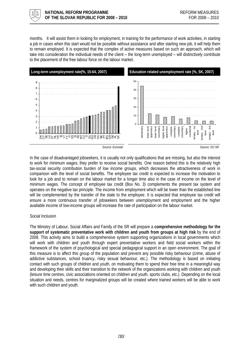

months. It will assist them in looking for employment, in training for the performance of work activities, in starting a job in cases when this start would not be possible without assistance and after starting new job, it will help them to remain employed. It is expected that the complex of active measures based on such an approach, which will take into consideration the individual needs of the client – the long-term unemployed – will distinctively contribute to the placement of the free labour force on the labour market.



In the case of disadvantaged jobseekers, it is usually not only qualifications that are missing, but also the interest to work for minimum wages; they prefer to receive social benefits. One reason behind this is the relatively high tax-social security contribution burden of low income groups, which decreases the attractiveness of work in comparison with the level of social benefits. The employee tax credit is expected to increase the motivation to look for a job and to remain on the labour market for a longer time also in the case of income on the level of minimum wages. The concept of employee tax credit (Box No. 3) complements the present tax system and operates on the negative tax principle. The income from employment which will be lower than the established line will be complemented by the transfer of the state to the employee. It is expected that employee tax credit will ensure a more continuous transfer of jobseekers between unemployment and employment and the higher available income of low-income groups will increase the rate of participation on the labour market.

## *Social Inclusion*

The Ministry of Labour, Social Affairs and Family of the SR will prepare a **comprehensive methodology for the support of systematic preventative work with children and youth from groups at high risk** by the end of 2008. This activity aims to build a comprehensive system supporting organizations in local governments which will work with children and youth through expert preventative workers and field social workers within the framework of the system of psychological and special pedagogical support in an open environment. The goal of this measure is to affect this group of the population and prevent any possible risky behaviour (crime, abuse of addictive substances, school truancy, risky sexual behaviour, etc.). The methodology is based on initiating contact with such groups of children and youth, on motivating them to spend their free time in a meaningful way and developing their skills and their transition to the network of the organizations working with children and youth (leisure time centres, civic associations oriented on children and youth, sports clubs, etc.). Depending on the local situation and needs, centres for marginalized groups will be created where trained workers will be able to work with such children and youth.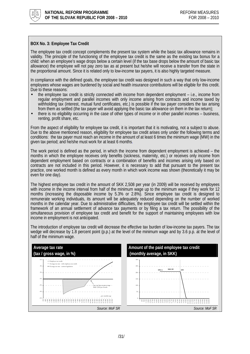<span id="page-30-0"></span>

## **BOX No. 3: Employee Tax Credit**

The employee tax credit concept complements the present tax system while the basic tax allowance remains in validity. The principle of the functioning of the employee tax credit is the same as the existing tax bonus for a child: when an employee's wage drops below a certain level (if the tax base drops below the amount of basic tax allowance) the employee will not pay zero tax as at present but he/she will receive a transfer from the state in the proportional amount. Since it is related only to low-income tax payers, it is also highly targeted measure.

In compliance with the defined goals, the employee tax credit was designed in such a way that only low-income employees whose wages are burdened by social and health insurance contributions will be eligible for this credit. Due to these reasons:

- the employee tax credit is strictly connected with income from dependent employment i.e., income from regular employment and parallel incomes with only income arising from contracts and income taxed by withholding tax (interest, mutual fund certificates, etc.) is possible if the tax payer considers the tax arising from them as settled (the tax payer will avoid applying the basic tax allowance on them in the tax return);
- there is no eligibility occurring in the case of other types of income or in other parallel incomes business, renting, profit share, etc.

From the aspect of eligibility for employee tax credit, it is important that it is motivating, not a subject to abuse. Due to the above mentioned reason, eligibility for employee tax credit arises only under the following terms and conditions: the tax payer must reach an income in the amount of at least 6 times the minimum wage (MW) in the given tax period; and he/she must work for at least 6 months.

The work period is defined as the period, in which the income from dependent employment is achieved – the months in which the employee receives only benefits (sickness, maternity, etc.) or receives only income from dependent employment based on contracts or a combination of benefits and incomes arising only based on contracts are not included in this period. However, it is necessary to add that pursuant to the present tax practice, one worked month is defined as every month in which work income was shown (theoretically it may be even for one day).

The highest employee tax credit in the amount of SKK 2,508 per year (in 2009) will be received by employees with income in the income interval from half of the minimum wage up to the minimum wage if they work for 12 months (increasing the disposable income by 5.3% or 2.8%). Since employee tax credit is designed to remunerate working individuals, its amount will be adequately reduced depending on the number of worked months in the calendar year. Due to administrative difficulties, the employee tax credit will be settled within the framework of an annual settlement of advance tax payments or by filing a tax return. The possibility of the simultaneous provision of employee tax credit and benefit for the support of maintaining employees with low income in employment is not anticipated.

The introduction of employee tax credit will decrease the effective tax burden of low-income tax payers. The tax wedge will decrease by 1.8 percent point (p.p.) at the level of the minimum wage and by 3.6 p.p. at the level of half of the minimum wage.

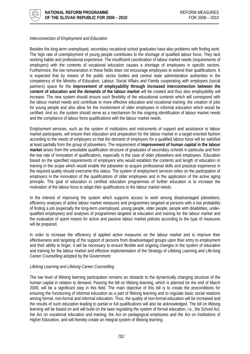

## *Interconnection of Employment and Education*

Besides the long-term unemployed, secondary vocational school graduates have also problems with finding work. The high rate of unemployment of young people contributes to the shortage of qualified labour force. They lack working habits and professional experience. The insufficient coordination of labour market needs (requirements of employers) with the contents of vocational education causes a shortage of employees in specific sectors. Furthermore, the low remuneration in these fields does not encourage employees to extend their qualifications. It is expected that by means of the public sector bodies and central state administration authorities in the competency of the Ministry of Education, Labour, Social Affairs and Family cooperating with employers (social partners) space for the **improvement of employability through increased interconnection between the content of education and the demands of the labour market** will be created and thus also employability will increase. The new system should ensure such flexibility of the educational contents which will correspond with the labour market needs and contribute to more effective education and vocational training, the creation of jobs for young people and also allow for the involvement of older employees in informal education which would be certified. And so, the system should serve as a mechanism for the ongoing identification of labour market needs and the compliance of labour force qualifications with the labour market needs.

Employment services, such as the system of institutions and instruments of support and assistance to labour market participants, will ensure their education and preparation for the labour market in a target-oriented fashion according to the needs of employers so that the demand of employers for a qualified labour force will be satisfied at least partially from the group of jobseekers. The requirement of **improvement of human capital in the labour market** arises from the unsuitable qualification structure of graduates of secondary schools in particular and from the low rate of innovation of qualifications, especially in the case of older jobseekers and employees. Education based on the specified requirements of employers who would establish the contents and length of education or training in the scope which would enable the jobseeker to acquire professional skills and practical experience in the required quality should overcome this status. The system of employment services relies on the participation of employers in the innovation of the qualifications of older employees and in the application of the active aging principle. The goal of education in certified education programmes of further education is to increase the motivation of the labour force to adapt their qualifications to the labour market needs.

In the interest of improving the system which supports access to work among disadvantaged jobseekers, efficiency analyses of active labour market measures and programmes targeted at persons with a low probability of finding a job (especially the long-term unemployed, young people, older people, people with disabilities, underqualified employees) and analyses of programmes targeted at education and training for the labour market and the evaluation of spent means for active and passive labour market policies according to the type of measures will be prepared.

In order to increase the efficiency of applied active measures on the labour market and to improve their effectiveness and targeting of the support of persons from disadvantaged groups upon their entry to employment and their ability to linger, it will be necessary to ensure flexible and ongoing changes in the system of education and training for the labour market and effective implementation of the Strategy of Lifelong Learning and Life-long Career Counselling adopted by the Government.

## *Lifelong Learning and Lifelong Career Counselling*

The low level of lifelong learning participation remains an obstacle to the dynamically changing structure of the human capital in relation to demand. Passing the bill on lifelong learning, which is planned for the end of March 2009, will be a significant step in this field. The main objective of this bill is to create the preconditions for ensuring the functioning of informal education as a part of lifelong learning and to regulate basic social relations among formal, non-formal and informal education. Thus, the quality of non-formal education will be increased and the results of such education leading to partial or full qualifications will also be acknowledged. The bill on lifelong learning will be based on and will build on the laws regulating the system of formal education, i.e., the School Act, the Act on vocational education and training, the Act on pedagogical employees and the Act on Institutions of Higher Education, and will thereby create an integral system of lifelong learning.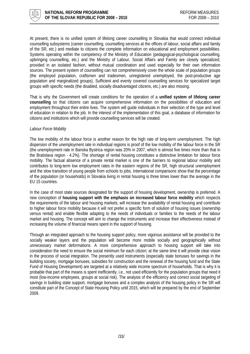

At present, there is no unified system of lifelong career counselling in Slovakia that would connect individual counselling subsystems (career counselling, counselling services at the offices of labour, social affairs and family of the SR, etc.) and mediate to citizens the complete information on educational and employment possibilities. Systems operating within the competency of the Ministry of Education (pedagogical-psychological counselling, upbringing counselling, etc.) and the Ministry of Labour, Social Affairs and Family are closely specialized, provided in an isolated fashion, without mutual coordination and used especially for their own information sources. The present system of counselling can not comprehensively cover the whole scale of population groups (the employed population, craftsmen and tradesmen, unregistered unemployed, the post-productive age population and marginalized groups). Sufficient and evenly covered counselling services for specialized target groups with specific needs (the disabled, socially disadvantaged citizens, etc.) are also missing.

That is why the Government will create conditions for the operation of a **unified system of lifelong career counselling** so that citizens can acquire comprehensive information on the possibilities of education and employment throughout their entire lives. The system will guide individuals in their selection of the type and level of education in relation to the job. In the interest of the implementation of this goal, a database of information for citizens and institutions which will provide counselling services will be created.

#### *Labour Force Mobility*

The low mobility of the labour force is another reason for the high rate of long-term unemployment. The high dispersion of the unemployment rate in individual regions is proof of the low mobility of the labour force in the SR (the unemployment rate in Banska Bystrica region was 20% in 2007, which is almost five times more than that in the Bratislava region - 4.2%). The shortage of rental housing constitutes a distinctive limitation for labour force mobility. The factual absence of a private rental market is one of the barriers to regional labour mobility and contributes to long-term low employment rates in the eastern regions of the SR, high structural unemployment and the slow transition of young people from schools to jobs. International comparisons show that the percentage of the population (or households) in Slovakia living in rental housing is three times lower than the average in the EU 15 countries.

In the case of most state sources designated for the support of housing development, ownership is preferred. A new conception of **housing support with the emphasis on increased labour force mobility** which respects the requirements of the labour and housing markets, will increase the availability of rental housing and contribute to higher labour force mobility because it will not prefer a specific form of solution of housing issues (ownership versus rental) and enable flexible adapting to the needs of individuals or families to the needs of the labour market and housing. The concept will aim to change the instruments and increase their effectiveness instead of increasing the volume of financial means spent in the support of housing.

Through an integrated approach to the housing support policy, more vigorous assistance will be provided to the socially weaker layers and the population will become more mobile socially and geographically without unnecessary market deformations. A more comprehensive approach to housing support will take into consideration the need to ensure the social minimum for each citizen; at the same time it will provide clear vision in the process of social integration. The presently used instruments (especially state bonuses for savings in the building society, mortgage bonuses, subsidies for construction and the renewal of the housing fund and the State Fund of Housing Development) are targeted at a relatively wide income spectrum of households. That is why it is probable that part of the means is spent inefficiently, i.e., not used efficiently for the population groups that need it most (low-income employees, groups at social risk). The analysis of the efficiency and correct social targeting of savings in building state support, mortgage bonuses and a complex analysis of the housing policy in the SR will constitute part of the Concept of State Housing Policy until 2015, which will be prepared by the end of September 2009.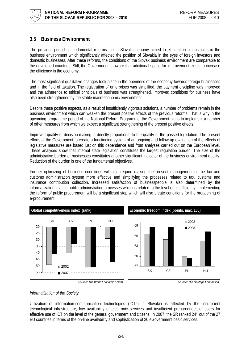<span id="page-33-0"></span>

# **3.5 Business Environment**

The previous period of fundamental reforms in the Slovak economy aimed to elimination of obstacles in the business environment which significantly affected the position of Slovakia in the eyes of foreign investors and domestic businesses. After these reforms, the conditions of the Slovak business environment are comparable to the developed countries. Still, the Government is aware that additional space for improvement exists to increase the efficiency in the economy.

The most significant qualitative changes took place in the openness of the economy towards foreign businesses and in the field of taxation. The registration of enterprises was simplified, the payment discipline was improved and the adherence to ethical principals of business was strengthened. Improved conditions for business have also been strengthened by the stable macroeconomic environment.

Despite these positive aspects, as a result of insufficiently vigorous solutions, a number of problems remain in the business environment which can weaken the present positive effects of the previous reforms. That is why in the upcoming programme period of the National Reform Programme, the Government plans to implement a number of other measures from which we expect a significant strengthening of the present positive effects.

Improved quality of decision-making is directly proportional to the quality of the passed legislation. The present efforts of the Government to create a functioning system of an ongoing and follow-up evaluation of the effects of legislative measures are based just on this dependence and from analyses carried out on the European level. These analyses show that internal state legislation constitutes the largest regulation burden. The size of the administrative burden of businesses constitutes another significant indicator of the business environment quality. Reduction of the burden is one of the fundamental objectives.

Further optimizing of business conditions will also require making the present management of the tax and customs administration system more effective and simplifying the processes related to tax, customs and insurance contribution collection. Increased satisfaction of businesspeople is also determined by the informatization level in public administration processes which is related to the level of its efficiency. Implementing the reform of public procurement will be a significant step which will also create conditions for the broadening of e-procurement.







## *Informatization of the Society*

Utilization of information-communication technologies (ICTs) in Slovakia is affected by the insufficient technological infrastructure, low availability of electronic services and insufficient preparedness of users for effective use of ICT on the level of the general government and citizens. In 2007, the SR ranked 24<sup>th</sup> out of the 27 EU countries in terms of the on-line availability and sophistication of 20 eGovernment basic services.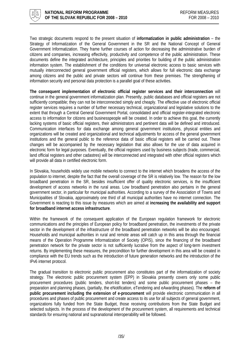

Two strategic documents respond to the present situation of **informatization in public administration** – the Strategy of Informatization of the General Government in the SR and the National Concept of General Government Informatization. They frame further courses of action for decreasing the administrative burden of citizens and companies, increasing effectivity, productivity and competence of the public administration. These documents define the integrated architecture, principles and priorities for building of the public administration information system. The establishment of the conditions for universal electronic access to basic services with mutually interconnected general government official registers, which allows for full electronic data exchange among citizens and the public and private sectors will continue from these premises. The strengthening of information security and personal data protection is a parallel goal of these activities.

**The consequent implementation of electronic official register services and their interconnection** will continue in the general government informatization plan. Presently, public databases and official registers are not sufficiently compatible; they can not be interconnected simply and cheaply. The effective use of electronic official register services requires a number of further necessary technical, organizational and legislative solutions to the extent that through a Central General Government Portal, consolidated and official register-integrated electronic access to information for citizens and businesspeople will be created. In order to achieve this goal, the currently lacking systems of basic official registers, their administrators and pertinent data will be defined and introduced. Communication interfaces for data exchange among general government institutions, physical entities and organizations will be created and organizational and technical adjustments for access of the general government institutions and the general public to the reference data of basic official registers will be carried out. These changes will be accompanied by the necessary legislation that also allows for the use of data acquired in electronic form for legal purposes. Eventually, the official registers used by business subjects (trade, commercial, land official registers and other cadastres) will be interconnected and integrated with other official registers which will provide all data in certified electronic form.

In Slovakia, households widely use mobile networks to connect to the internet which broadens the access of the population to internet, despite the fact that the overall coverage of the SR is relatively low. The reason for the low broadband penetration in the SR, besides insufficient offer of quality electronic services, is the insufficient development of access networks in the rural areas. Low broadband penetration also pertains in the general government sector, in particular for municipal authorities. According to a survey of the Association of Towns and Municipalities of Slovakia, approximately one third of all municipal authorities have no internet connection. The Government is reacting to this issue by measures which are aimed at **increasing the availability and support for broadband internet access infrastructure**.

Within the framework of the consequent application of the European regulation framework for electronic communications and the principles of European policy for broadband penetration, the investments of the private sector in the development of the infrastructure of the broadband penetration networks will be also encouraged. Households and municipal authorities in rural and remote areas will catch up in this area through the financial means of the Operation Programme Informatization of Society (OPIS), since the financing of the broadband penetration network for the private sector is not sufficiently lucrative from the aspect of long-term investment returns. By implementing these measures, the precondition for further development in this area will be created in compliance with the EU trends such as the introduction of future generation networks and the introduction of the IPv6 internet protocol.

The gradual transition to electronic public procurement also constitutes part of the informatization of society strategy. The electronic public procurement system (EPP) in Slovakia presently covers only some public procurement procedures (public tenders, short-list tenders) and some public procurement phases – the preparation and planning phases, (partially, the eNotification, eTendering and eAwarding phases). The **reform of** public procurement including the extension of e-procurement will provide electronic communication in all procedures and phases of public procurement and create access to its use for all subjects of general government, organizations fully funded from the State Budget, those receiving contributions from the State Budget and selected subjects. In the process of the development of the procurement system, all requirements and technical standards for ensuring national and supranational interoperability will be followed.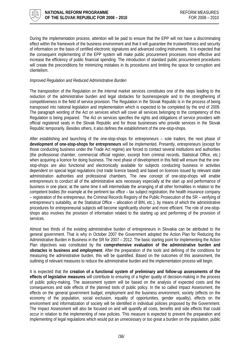

During the implementation process, attention will be paid to ensure that the EPP will not have a discriminating effect within the framework of the business environment and that it will guarantee the trustworthiness and security of information on the basis of certified electronic signatures and advanced coding instruments. It is expected that the consequent implementing of the EPP system will make public procurement processes more effective and increase the efficiency of public financial spending. The introduction of standard public procurement procedures will create the preconditions for minimizing mistakes in its procedures and limiting the space for corruption and clientelism.

## *Improved Regulation and Reduced Administrative Burden*

The transposition of the Regulation on the internal market services constitutes one of the steps leading to the reduction of the administrative burden and legal obstacles for businesspeople and to the strengthening of competitiveness in the field of service provision. The Regulation in the Slovak Republic is in the process of being transposed into national legislation and implementation which is expected to be completed by the end of 2009. The paragraph wording of the Act on services which will cover all services belonging to the competency of this Regulation is being prepared. The Act on services specifies the rights and obligations of service providers with official registered seats in the Slovak Republic and for those businesses who provide services in the Slovak Republic temporarily. Besides others, it also defines the establishment of the one-stop-shops.

After establishing and launching of the one-stop-shops for entrepreneurs – sole traders, the next phase of **development of one-stop-shops for entrepreneurs** will be implemented. Presently, entrepreneurs (except for those conducting business under the Trade Act regime) are forced to contact several institutions and authorities (the professional chamber, commercial official register, excerpt from criminal records, Statistical Office, etc.) when acquiring a licence for doing business. The next phase of development in this field will ensure that the onestop-shops are also functional and electronically available for subjects conducting business in activities dependent on special legal regulations (not trade licence based) and based on licences issued by relevant state administration authorities and professional chambers. The new concept of one-stop-shops will enable entrepreneurs to conduct all of the administrative acts necessary especially at the start up and performance of business in one place; at the same time it will intermediate the arranging of all other formalities in relation to the competent bodies (for example at the pertinent tax office – tax subject registration, the health insurance company – registration of the entrepreneur, the Criminal Records Registry of the Public Prosecution of the SR – verifying of entrepreneur's suitability, at the Statistical Office – allocation of BIN, etc.), by means of which the administrative procedures for entrepreneurial subjects will become significantly shorter and more efficient. The role of one-stopshops also involves the provision of information related to the starting up and performing of the provision of services.

Almost two thirds of the existing administrative burden of entrepreneurs in Slovakia can be attributed to the general government. That is why in October 2007 the Government adopted the Action Plan for Reducing the Administrative Burden in Business in the SR for 2007 – 2012. The basic starting point for implementing the Action Plan objectives was constituted by the **comprehensive evaluation of the administrative burden and obstacles in business and employment**. After the preparation of the tools and defining of the conditions for measuring the administrative burden, this will be quantified. Based on the outcomes of this assessment, the outlining of relevant measures to reduce the administrative burden and the implementation process will begin.

It is expected that the **creation of a functional system of preliminary and follow-up assessments of the effects of legislative measures** will contribute to ensuring of a higher quality of decision-making in the process of public policy-making. The assessment system will be based on the analysis of expected costs and the consequences and side effects of the planned tools of public policy. In the so called Impact Assessment, the effects on the general government budget, employment and the business environment, society (effects on the economy of the population, social exclusion, equality of opportunities, gender equality), effects on the environment and informatization of society will be identified in individual policies proposed by the Government. The Impact Assessment will also be focused on and will quantify all costs, benefits and side effects that could occur in relation to the implementing of new policies. This measure is expected to prevent the preparation and implementing of legal regulations which would put an unnecessary or too great a burden on the population, public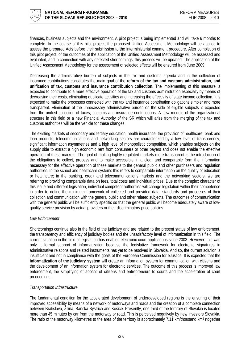

finances, business subjects and the environment. A pilot project is being implemented and will take 6 months to complete. In the course of this pilot project, the proposed Unified Assessment Methodology will be applied to assess the prepared Acts before their submission to the interministerial comment procedure. After completion of this pilot project, of the outcomes of the application of the Unified Assessment Methodology will be assessed and evaluated, and in connection with any detected shortcomings, this process will be updated. The application of the Unified Assessment Methodology for the assessment of selected effects will be ensured from June 2009.

Decreasing the administrative burden of subjects in the tax and customs agenda and in the collection of insurance contributions constitutes the main goal of the **reform of the tax and customs administration, and unification of tax, customs and insurance contribution collection.** The implementing of this measure is expected to contribute to a more effective operation of the tax and customs administration especially by means of decreasing their costs, eliminating duplicate activities and increasing the effectivity of state income collection. It is expected to make the processes connected with the tax and insurance contribution obligations simpler and more transparent. Elimination of the unnecessary administrative burden on the side of eligible subjects is expected from the unified collection of taxes, customs and insurance contributions. A new module of the organizational structure in this field or a new Financial Authority of the SR which will arise from the merging of the tax and customs authorities will be the vehicle for these changes.

The existing markets of secondary and tertiary education, health insurance, the provision of healthcare, bank and loan products, telecommunications and networking sectors are characterized by a low level of transparency, significant information asymmetries and a high level of monopolistic competition, which enables subjects on the supply side to extract a high economic rent from consumers or other payers and does not enable the effective operation of these markets. The goal of making highly regulated markets more transparent is the introduction of the obligations to collect, process and to make accessible in a clear and comparable form the information necessary for the effective operation of these markets to the general public and other purchasers and regulation authorities. In the school and healthcare systems this refers to comparable information on the quality of education or healthcare; in the banking, credit and telecommunications markets and the networking sectors, we are referring to providing comparable data on fees, total costs and individual prices. Due to the complex character of this issue and different legislation, individual competent authorities will change legislation within their competence in order to define the minimum framework of collected and provided data, standards and processes of their collection and communication with the general public and other related subjects. The outcomes of communication with the general public will be sufficiently specific so that the general public will become adequately aware of lowquality service provision by actual providers or their discriminatory price policies.

## *Law Enforcement*

Shortcomings continue also in the field of the judiciary and are related to the present status of law enforcement, the transparency and efficiency of judiciary bodies and the unsatisfactory level of informatization in this field. The current situation in the field of legislation has enabled electronic court applications since 2003. However, this was only a formal support of informatization because the legislative framework for electronic signatures in administrative relations and related instruments has yet to be resolved in Slovakia. And so, the current solution is insufficient and not in compliance with the goals of the European Commission for eJustice. It is expected that the **informatization of the judiciary system** will create an information system for communication with citizens and the development of an information system for electronic services. The outcome of this process is improved law enforcement, the simplifying of access of citizens and entrepreneurs to courts and the acceleration of court proceedings.

## *Transportation Infrastructure*

The fundamental condition for the accelerated development of underdeveloped regions is the ensuring of their improved accessibility by means of a network of motorways and roads and the creation of a complete connection between Bratislava, Žilina, Banska Bystrica and Košice. Presently, one third of the territory of Slovakia is located more than 45 minutes by car from the motorway or road. This is perceived negatively by new investors Slovakia. The ratio of the motorway kilometres to the area of the territory is approximately 7.11 km/thousand km<sup>2</sup> (together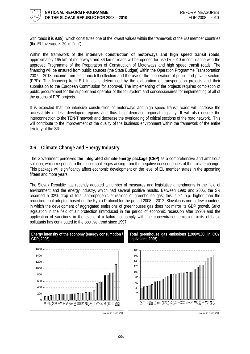<span id="page-37-0"></span>

with roads it is 9.89), which constitutes one of the lowest values within the framework of the EU member countries (the EU average is 20 km/km2).

Within the framework of **the intensive construction of motorways and high speed transit roads**, approximately 165 km of motorways and 86 km of roads will be opened for use by 2010 in compliance with the approved Programme of the Preparation of Construction of Motorways and high speed transit roads. The financing will be ensured from public sources (the State Budget) within the Operation Programme Transportation 2007 – 2013, income from electronic toll collection and the use of the cooperation of public and private sectors (PPP). The financing from EU funds is determined by the elaboration of transportation projects and their submission to the European Commission for approval. The implementing of the projects requires completion of public procurement for the supplier and operator of the toll system and concessionaires for implementing of all of the groups of PPP projects.

It is expected that the intensive construction of motorways and high speed transit roads will increase the accessibility of less developed regions and thus help decrease regional disparity. It will also ensure the interconnection to the TEN-T network and decrease the overloading of critical sections of the road network. This will contribute to the improvement of the quality of the business environment within the framework of the entire territory of the SR.

# **3.6 Climate Change and Energy Industry**

The Government perceives **the integrated climate-energy package (CEP)** as a comprehensive and ambitious solution, which responds to the global challenges arising from the negative consequences of the climate change. This package will significantly affect economic development on the level of EU member states in the upcoming fifteen and more years.

The Slovak Republic has recently adopted a number of measures and legislative amendments in the field of environment and the energy industry, which had several positive results. Between 1990 and 2006, the SR recorded a 32% drop of total anthropogenic emissions of greenhouse gas; this is 24 p.p. higher than the reduction goal adopted based on the Kyoto Protocol for the period 2008 – 2012. Slovakia is one of few countries in which the development of aggregated emissions of greenhouses gas does not mirror its GDP growth. Strict legislation in the field of air protection (introduced in the period of economic recession after 1990) and the application of sanctions in the event of a failure to comply with the concentration emission limits of basic pollutants has contributed to the positive trend since 1997.

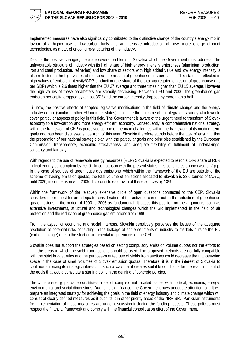

Implemented measures have also significantly contributed to the distinctive change of the country's energy mix in favour of a higher use of low-carbon fuels and an intensive introduction of new, more energy efficient technologies, as a part of ongoing re-structuring of the industry.

Despite the positive changes, there are several problems in Slovakia which the Government must address. The unfavourable structure of industry with its high share of high energy intensity enterprises (aluminium production, iron and steel production, refineries) and low share of sectors with high added value and low energy intensity is also reflected in the high values of the specific emission of greenhouse gas per capita. This status is reflected in high values of emission intensity/GDP production (the share of the total aggregated emission of greenhouse gas per GDP) which is 2.6 times higher that the EU 27 average and three times higher than EU 15 average. However the high values of these parameters are steadily decreasing. Between 1990 and 2006, the greenhouse gas emission per capita dropped by almost 35% and the carbon intensity dropped by more than a half.

Till now, the positive effects of adopted legislative modifications in the field of climate change and the energy industry do not (similar to other EU member states) constitute the outcome of an integrated strategy which would cover particular aspects of policy in this field. The Government is aware of the urgent need to transform of Slovak economy to a low-carbon and more energy efficient economy. Consequently, a comprehensive national strategy within the framework of CEP is perceived as one of the main challenges within the framework of its medium-term goals and has been discussed since April of this year. Slovakia therefore stands before the task of ensuring that the preparation of our national strategic plan with the particular goals and principles established by the European Commission: transparency, economic effectiveness, and adequate flexibility of fulfilment of undertakings, solidarity and fair play.

With regards to the use of renewable energy resources (RER) Slovakia is expected to reach a 14% share of RER in final energy consumption by 2020. In comparison with the present status, this constitutes an increase of 7 p.p. In the case of sources of greenhouse gas emissions, which within the framework of the EU are outside of the scheme of trading emission quotas, the total volume of emissions allocated to Slovakia is 23.6 tonnes of  $CO<sub>2</sub>_{eq.}$ until 2020; in comparison with 2005, this constitutes growth of these sources by 13%.

Within the framework of the relatively extensive circle of open questions connected to the CEP, Slovakia considers the request for an adequate consideration of the activities carried out in the reduction of greenhouse gas emissions in the period of 1990 to 2005 as fundamental. It bases this position on the arguments, such as extensive investments, structural and technological changes which the SR implemented in the field of air protection and the reduction of greenhouse gas emissions from 1990.

From the aspect of economic and social interests, Slovakia sensitively perceives the issues of the adequate resolution of potential risks consisting in the leakage of some segments of industry to markets outside the EU (carbon leakage) due to the strict environmental requirements of the CEP.

Slovakia does not support the strategies based on setting compulsory emission volume quotas nor the efforts to limit the areas in which the yield from auctions should be used. The proposed methods are not fully compatible with the strict budget rules and the purpose-oriented use of yields from auctions could decrease the manoeuvring space in the case of small volumes of Slovak emission quotas. Therefore, it is in the interest of Slovakia to continue enforcing its strategic interests in such a way that it creates suitable conditions for the real fulfilment of the goals that would constitute a starting point in the defining of concrete policies.

The climate-energy package constitutes a set of complex multifaceted issues with political, economic, energy, environmental and social dimensions. Due to its significance, the Government pays adequate attention to it. It will prepare an integrated strategy for achieving the goals in the field of energy industry and climate change which will consist of clearly defined measures as it submits it in other priority areas of the NRP SR. Particular instruments for implementation of these measures are under discussion including the funding aspects. These policies must respect the financial framework and comply with the financial consolidation effort of the Government.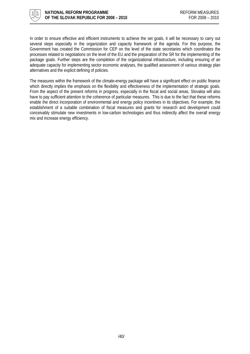

In order to ensure effective and efficient instruments to achieve the set goals, it will be necessary to carry out several steps especially in the organization and capacity framework of the agenda. For this purpose, the Government has created the Commission for CEP on the level of the state secretaries which coordinates the processes related to negotiations on the level of the EU and the preparation of the SR for the implementing of the package goals. Further steps are the completion of the organizational infrastructure, including ensuring of an adequate capacity for implementing sector economic analyses, the qualified assessment of various strategy plan alternatives and the explicit defining of policies.

The measures within the framework of the climate-energy package will have a significant effect on public finance which directly implies the emphasis on the flexibility and effectiveness of the implementation of strategic goals. From the aspect of the present reforms in progress, especially in the fiscal and social areas, Slovakia will also have to pay sufficient attention to the coherence of particular measures. This is due to the fact that these reforms enable the direct incorporation of environmental and energy policy incentives in its objectives. For example, the establishment of a suitable combination of fiscal measures and grants for research and development could conceivably stimulate new investments in low-carbon technologies and thus indirectly affect the overall energy mix and increase energy efficiency.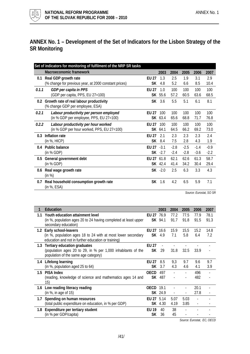<span id="page-40-0"></span>

# **ANNEX No. 1 – Development of the Set of Indicators for the Lisbon Strategy of the SR Monitoring**

| Macroeconomic framework<br>2003<br>2004<br>2005<br>2006<br>2007<br>2.5<br>1.9<br>2.9<br><b>EU 27</b><br>1.3<br>3.1<br>Real GDP growth rate<br>0.1<br>5.2<br>(% change for previous year, at 2000 constant prices)<br><b>SK</b><br>8.5<br>10.4<br>4.8<br>6.6<br>100<br>1.0<br>100<br>100<br>100<br><b>EU 27</b><br>0.1.1<br>GDP per capita in PPS<br>SK 55.6<br>57.2<br>(GDP per capita, PPS, EU 27=100)<br>60.5<br>63.6<br>68.5<br>Growth rate of real labour productivity<br>SK 3.6<br>5.5<br>5.1<br>8.1<br>6.1<br>0.2<br>(% change GDP per employee, ESA)<br>100<br>0.2.1<br>100<br>100<br>100<br>EU 27<br>100<br>Labour productivity per person employed<br>(in % GDP per employee, PPS, EU 27=100)<br>SK 63.4<br>65.6<br>68.8<br>71.7<br>76.8<br>100<br>0.2.2<br>Labour productivity per hour worked<br><b>EU 27</b><br>100<br>100<br>100<br>100<br>(in % GDP per hour worked, PPS, EU 27=100)<br>73.0<br>SK 64.1<br>64.5<br>66.2<br>69.2<br>2.1<br>2.3<br>2.4<br>Inflation rate<br><b>FU 27</b><br>2.3<br>2.3<br>0.3<br>(in %, HICP)<br>SK<br>8.4<br>7.5<br>2.8<br>4.3<br>1.9<br>$-2.5$<br>$-0.9$<br><b>Public balance</b><br>EU $27 - 3.1$<br>$-2.8$<br>$-1.4$<br>0.4<br>$-2.8$<br>(in % GDP)<br>$SK -2.7$<br>$-2.4$<br>$-3.6$<br>$-2.2$<br>58.7<br>General government debt<br>EU 27<br>61.8<br>62.1<br>62.6<br>61.3<br>0.5<br>(in % GDP)<br>SK 42.4<br>29.4<br>41.4<br>34.2<br>30.4<br>$SK -2.0$<br>2.5<br>3.3<br>4.3<br>6.3<br>Real wage growth rate<br>0.6<br>(in %)<br>4.2<br>5.9<br>7.1<br>Real household consumption growth rate<br>SK 1.6<br>6.5<br>0.7 | Set of indicators for monitoring of fulfilment of the NRP SR tasks |  |  |  |
|----------------------------------------------------------------------------------------------------------------------------------------------------------------------------------------------------------------------------------------------------------------------------------------------------------------------------------------------------------------------------------------------------------------------------------------------------------------------------------------------------------------------------------------------------------------------------------------------------------------------------------------------------------------------------------------------------------------------------------------------------------------------------------------------------------------------------------------------------------------------------------------------------------------------------------------------------------------------------------------------------------------------------------------------------------------------------------------------------------------------------------------------------------------------------------------------------------------------------------------------------------------------------------------------------------------------------------------------------------------------------------------------------------------------------------------------------------------------------------------------------------------------------------------------------------------------|--------------------------------------------------------------------|--|--|--|
|                                                                                                                                                                                                                                                                                                                                                                                                                                                                                                                                                                                                                                                                                                                                                                                                                                                                                                                                                                                                                                                                                                                                                                                                                                                                                                                                                                                                                                                                                                                                                                      |                                                                    |  |  |  |
|                                                                                                                                                                                                                                                                                                                                                                                                                                                                                                                                                                                                                                                                                                                                                                                                                                                                                                                                                                                                                                                                                                                                                                                                                                                                                                                                                                                                                                                                                                                                                                      |                                                                    |  |  |  |
|                                                                                                                                                                                                                                                                                                                                                                                                                                                                                                                                                                                                                                                                                                                                                                                                                                                                                                                                                                                                                                                                                                                                                                                                                                                                                                                                                                                                                                                                                                                                                                      |                                                                    |  |  |  |
|                                                                                                                                                                                                                                                                                                                                                                                                                                                                                                                                                                                                                                                                                                                                                                                                                                                                                                                                                                                                                                                                                                                                                                                                                                                                                                                                                                                                                                                                                                                                                                      |                                                                    |  |  |  |
|                                                                                                                                                                                                                                                                                                                                                                                                                                                                                                                                                                                                                                                                                                                                                                                                                                                                                                                                                                                                                                                                                                                                                                                                                                                                                                                                                                                                                                                                                                                                                                      |                                                                    |  |  |  |
|                                                                                                                                                                                                                                                                                                                                                                                                                                                                                                                                                                                                                                                                                                                                                                                                                                                                                                                                                                                                                                                                                                                                                                                                                                                                                                                                                                                                                                                                                                                                                                      |                                                                    |  |  |  |
|                                                                                                                                                                                                                                                                                                                                                                                                                                                                                                                                                                                                                                                                                                                                                                                                                                                                                                                                                                                                                                                                                                                                                                                                                                                                                                                                                                                                                                                                                                                                                                      |                                                                    |  |  |  |
|                                                                                                                                                                                                                                                                                                                                                                                                                                                                                                                                                                                                                                                                                                                                                                                                                                                                                                                                                                                                                                                                                                                                                                                                                                                                                                                                                                                                                                                                                                                                                                      |                                                                    |  |  |  |
|                                                                                                                                                                                                                                                                                                                                                                                                                                                                                                                                                                                                                                                                                                                                                                                                                                                                                                                                                                                                                                                                                                                                                                                                                                                                                                                                                                                                                                                                                                                                                                      |                                                                    |  |  |  |
|                                                                                                                                                                                                                                                                                                                                                                                                                                                                                                                                                                                                                                                                                                                                                                                                                                                                                                                                                                                                                                                                                                                                                                                                                                                                                                                                                                                                                                                                                                                                                                      |                                                                    |  |  |  |
|                                                                                                                                                                                                                                                                                                                                                                                                                                                                                                                                                                                                                                                                                                                                                                                                                                                                                                                                                                                                                                                                                                                                                                                                                                                                                                                                                                                                                                                                                                                                                                      |                                                                    |  |  |  |
|                                                                                                                                                                                                                                                                                                                                                                                                                                                                                                                                                                                                                                                                                                                                                                                                                                                                                                                                                                                                                                                                                                                                                                                                                                                                                                                                                                                                                                                                                                                                                                      |                                                                    |  |  |  |
|                                                                                                                                                                                                                                                                                                                                                                                                                                                                                                                                                                                                                                                                                                                                                                                                                                                                                                                                                                                                                                                                                                                                                                                                                                                                                                                                                                                                                                                                                                                                                                      |                                                                    |  |  |  |
|                                                                                                                                                                                                                                                                                                                                                                                                                                                                                                                                                                                                                                                                                                                                                                                                                                                                                                                                                                                                                                                                                                                                                                                                                                                                                                                                                                                                                                                                                                                                                                      |                                                                    |  |  |  |
|                                                                                                                                                                                                                                                                                                                                                                                                                                                                                                                                                                                                                                                                                                                                                                                                                                                                                                                                                                                                                                                                                                                                                                                                                                                                                                                                                                                                                                                                                                                                                                      |                                                                    |  |  |  |
|                                                                                                                                                                                                                                                                                                                                                                                                                                                                                                                                                                                                                                                                                                                                                                                                                                                                                                                                                                                                                                                                                                                                                                                                                                                                                                                                                                                                                                                                                                                                                                      |                                                                    |  |  |  |
|                                                                                                                                                                                                                                                                                                                                                                                                                                                                                                                                                                                                                                                                                                                                                                                                                                                                                                                                                                                                                                                                                                                                                                                                                                                                                                                                                                                                                                                                                                                                                                      |                                                                    |  |  |  |
|                                                                                                                                                                                                                                                                                                                                                                                                                                                                                                                                                                                                                                                                                                                                                                                                                                                                                                                                                                                                                                                                                                                                                                                                                                                                                                                                                                                                                                                                                                                                                                      |                                                                    |  |  |  |
|                                                                                                                                                                                                                                                                                                                                                                                                                                                                                                                                                                                                                                                                                                                                                                                                                                                                                                                                                                                                                                                                                                                                                                                                                                                                                                                                                                                                                                                                                                                                                                      |                                                                    |  |  |  |
|                                                                                                                                                                                                                                                                                                                                                                                                                                                                                                                                                                                                                                                                                                                                                                                                                                                                                                                                                                                                                                                                                                                                                                                                                                                                                                                                                                                                                                                                                                                                                                      |                                                                    |  |  |  |
|                                                                                                                                                                                                                                                                                                                                                                                                                                                                                                                                                                                                                                                                                                                                                                                                                                                                                                                                                                                                                                                                                                                                                                                                                                                                                                                                                                                                                                                                                                                                                                      | (in %, ESA)                                                        |  |  |  |

*Source: Eurostat, SO SR*

| 1   | Education                                                                                                                                       |                     | 2003           | 2004         | 2005         | 2006         | 2007         |
|-----|-------------------------------------------------------------------------------------------------------------------------------------------------|---------------------|----------------|--------------|--------------|--------------|--------------|
| 1.1 | Youth education attainment level<br>(in %, population ages 20 to 24 having completed at least upper<br>secondary education)                     | EU 27 76.9          | SK 94.1        | 77.2<br>91.7 | 77.5<br>91.8 | 77.9<br>91.5 | 78.1<br>91.3 |
|     | 1.2 Early school-leavers<br>(in %, population ages 18 to 24 with at most lower secondary<br>education and not in further education or training) | EU 27 16.6<br>SK.   | 4.9            | 15.9<br>7.1  | 15,5<br>5.8  | 15.2<br>6.4  | 14.8<br>7.2  |
| 1.3 | Tertiary education graduates<br>(population ages 20 to 29, in % per 1,000 inhabitants of the<br>population of the same age category)            | EU 27<br><b>SK</b>  | 29             | 31.8         | 32.5         | 33.9         |              |
| 1.4 | Lifelong learning<br>(in %, population aged 25 to 64)                                                                                           | EU 27<br>SK.        | 8.5<br>3.7     | 9,3<br>4.3   | 9.7<br>4.6   | 9.6<br>4.1   | 9.7<br>3.9   |
| 1.5 | <b>PISA Index</b><br>(reading, knowledge of science and mathematics ages 14 and<br>15)                                                          | <b>OECD</b><br>SK.  | 497<br>487     |              |              | 496<br>482   |              |
| 1.6 | Low reading literacy reading<br>(in $\%$ , in age of 15)                                                                                        | <b>OECD</b> 19.1    | SK 24.9        |              |              | 20.1<br>27.8 |              |
| 1.7 | Spending on human resources<br>(total public expenditure on education, in % per GDP)                                                            | EU 27 5.14          | <b>SK</b> 4.30 | 5.07<br>4.19 | 5.03<br>3.85 |              |              |
| 1.8 | Expenditure per tertiary student<br>(in % per GDP/capita)                                                                                       | <b>FII 19</b><br>SK | 40<br>36       | 38<br>45     |              |              |              |

*Source: Eurostat, EC, OECD*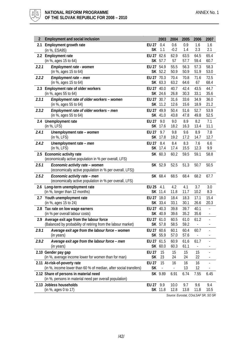

| $\overline{2}$ | <b>Employment and social inclusion</b>                                     |              | 2003                     | 2004                     | 2005         | 2006                             | 2007                     |
|----------------|----------------------------------------------------------------------------|--------------|--------------------------|--------------------------|--------------|----------------------------------|--------------------------|
| 2.1            | Employment growth rate                                                     | <b>EU 27</b> | 0.4                      | 0.6                      | 0.9          | 1.6                              | 1.6                      |
|                | (in %, ESA95)                                                              | <b>SK</b>    | 1.1                      | $-0.2$                   | 1.4          | 2.3                              | 2.1                      |
| $2.2^{\circ}$  | <b>Employment rate</b>                                                     | EU 27        | 62.6                     | 62.9                     | 63.5         | 64.5                             | 65.4                     |
|                | (in %, ages 15 to 64)                                                      |              | SK 57.7                  | 57                       | 57.7         | 59.4                             | 60.7                     |
| 2.2.1          | Employment rate - women<br>(in %, ages 15 to 64)                           | <b>EU 27</b> | 54.9<br>SK 52.2          | 55.5<br>50.9             | 56.3<br>50.9 | 57.3<br>51.9                     | 58.3<br>53.0             |
| 2.2.2          | Employment rate - men                                                      | EU 27 70.3   |                          | 70.4                     | 70.8         | 71.6                             | 72.5                     |
|                | (in %, ages 15 to 64)                                                      |              | SK 63.3                  | 63.2                     | 64.6         | 67                               | 68.4                     |
| 2.3            | Employment rate of older workers                                           | <b>EU 27</b> | 40.0                     | 40.7                     | 42.4         | 43.5                             | 44.7                     |
|                | (in %, ages 55 to 64)                                                      |              | SK 24.6                  | 26.8                     | 30.3         | 33.1                             | 35.6                     |
| 2.3.1          | Employment rate of older workers - women                                   | <b>EU 27</b> | 30.7                     | 31.6                     | 33.6         | 34.9                             | 36.0                     |
|                | (in %, ages 55 to 64)                                                      |              | SK 11.2                  | 12.6                     | 15.6         | 18.9                             | 21.2                     |
| 2.3.2          | Employment rate of older workers - men                                     | <b>EU 27</b> | 49.9                     | 50.4                     | 51.6         | 52.7                             | 53.9                     |
|                | (in %, ages 55 to 64)                                                      | <b>SK</b>    | 41.0                     | 43.8                     | 47.8         | 49.8                             | 52.5                     |
| 2.4            | Unemployment rate                                                          | <b>EU 27</b> | 9.0<br>SK 17.6           | 9.0<br>18.2              | 8.9<br>16.3  | 8.2<br>13.4                      | 7.1<br>11.1              |
| 2.4.1          | (in %, LFS)                                                                | <b>EU 27</b> | 9.7                      | 9.8                      | 9.6          | 8.9                              | 7.8                      |
|                | Unemployment rate - women<br>(in %, LFS)                                   |              | SK 17.8                  | 19.2                     | 17.2         | 14.7                             | 12.7                     |
| 2.4.2          | Unemployment rate - men                                                    | <b>EU 27</b> | 8.4                      | 8.4                      | 8.3          | 7.6                              | 6.6                      |
|                | (in %, LFS)                                                                | <b>SK</b>    | 17.4                     | 17.4                     | 15.5         | 12.3                             | 9.9                      |
| 2.5            | Economic activity rate                                                     |              | SK 60.3                  | 60.2                     | 59.5         | 59.1                             | 58.8                     |
|                | (economically active population in % per overall, LFS)                     |              |                          |                          |              |                                  |                          |
| 2.5.1          | Economic activity rate - women                                             |              | SK 52.9                  | 52.5                     | 51.3         | 50.7                             | 50.5                     |
|                | (economically active population in % per overall, LFS))                    |              |                          |                          |              |                                  |                          |
| 2.5.2          | Economic activity rate - men                                               |              | SK 68.4                  | 68.5                     | 68.4         | 68.2                             | 67.7                     |
|                | (economically active population in % per overall, LFS)                     |              |                          |                          |              |                                  |                          |
|                | 2.6 Long-term unemployment rate<br>(in %, longer than 12 months)           | <b>EU 25</b> | 4.1<br>SK 11.4           | 4.2<br>11.8              | 4.1<br>11.7  | 3.7<br>10.2                      | 3.0<br>8.3               |
|                | 2.7 Youth unemployment rate                                                | <b>EU 27</b> | 18.0                     | 18.4                     | 18.3         | 17.1                             | 15.4                     |
|                | (in %, ages 15 to 24)                                                      |              | SK 33.4                  | 33.1                     | 30.1         | 26.6                             | 20.3                     |
|                | 2.8 Tax rate on low wage earners                                           | EU 27        | 40.3                     | 39.8                     | 39.7         | 40.1                             | $\overline{a}$           |
|                | (in % per overall labour costs)                                            |              | SK 40.9                  | 39.6                     | 35.2         | 35.6                             | $\overline{\phantom{a}}$ |
|                | 2.9 Average exit age from the labour force                                 | EU 27 61.0   |                          | 60.5                     | 61.0         | 61.2                             | $\blacksquare$           |
|                | (Balanced by probability of retiring from the labour market)               |              | SK 57.8                  | 58.5                     | 59.2         | $\overline{\phantom{a}}$         |                          |
| 2.9.1          | Average exit age from the labour force - women                             | EU 27 60.6   |                          | 60.1                     | 60.4         | 60.7                             |                          |
|                | (in years)                                                                 |              | SK 55.9                  | 57.0                     | 57.6         | -                                |                          |
| 2.9.2          | Average exit age from the labour force - men<br>(in years)                 | EU 27 61.5   | SK 60.0                  | 60.9<br>60.3             | 61.6<br>61.1 | 61.7<br>$\overline{\phantom{a}}$ |                          |
|                |                                                                            | <b>EU 27</b> | 15                       |                          |              | 15                               |                          |
|                | 2.10 Gender pay gap<br>(in %, average income lower for women than for man) | <b>SK</b>    | 23                       | 15<br>24                 | 15<br>24     | 22                               |                          |
|                | 2.11 At-risk-of-poverty rate                                               | <b>EU 27</b> | 15                       | 16                       | 16           | 16                               |                          |
|                | (in %, income lower than 60 % of median, after social transfers)           | <b>SK</b>    | $\overline{\phantom{a}}$ | $\overline{\phantom{a}}$ | 13           | 12                               |                          |
|                | 2.12 Share of persons in material need                                     |              | SK 9.89                  | 6.91                     | 6.74         | 7.55                             | 6.45                     |
|                | (in %, persons in material need per overall population)                    |              |                          |                          |              |                                  |                          |
|                | 2.13 Jobless households                                                    | <b>EU 27</b> | 9.9                      | 10.0                     | 9.7          | 9.6                              | 9.4                      |
|                | (in %, ages 0 to 17)                                                       |              | SK 11.8                  | 12.8                     | 13.8         | 11.8                             | 10.5                     |

*Source: Eurostat, COoLSAF SR, SO SR*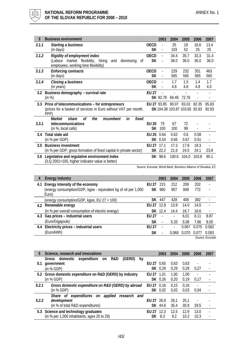

| 3<br><b>Business environment</b>                                   |              | 2003                     | 2004  | 2005                          | 2006           | 2007  |
|--------------------------------------------------------------------|--------------|--------------------------|-------|-------------------------------|----------------|-------|
| 3.1.1<br>Starting a business                                       | <b>OECD</b>  |                          | 25    | 19                            | 16.6           | 13.4  |
| (in days)                                                          | <b>SK</b>    | $\overline{\phantom{a}}$ | 103   | 52                            | 25             | 25    |
| 3.1.2<br>Rigidity of employment index                              | <b>OECD</b>  |                          | 34.4  | 35.7                          | 33.3           | 31.4  |
| (Labour market flexibility, hiring<br>dismissing<br>and<br>0f      | <b>SK</b>    |                          | 36.0  | 36.0                          | 36.0           | 36.0  |
| employees, working time flexibility)                               |              |                          |       |                               |                |       |
| 3.1.3<br><b>Enforcing contracts</b>                                | <b>OECD</b>  | $\overline{\phantom{a}}$ | 229   | 232                           | 351            | 463   |
| (in days)                                                          | <b>SK</b>    | $\overline{\phantom{a}}$ | 565   | 565                           | 565            | 565   |
| 3.1.4<br>Closing a business                                        | OECD         |                          | 1.7   | 1.5                           | 1.4            | 1.7   |
| (in years)                                                         | SK           | $\overline{\phantom{a}}$ | 4.8   | 4.8                           | 4.8            | 4.0   |
| Business demography - survival rate<br>3.2                         | <b>EU 27</b> |                          |       |                               |                |       |
| (in %)                                                             |              | SK 82.79                 | 66.49 | 72.76                         | $\overline{a}$ |       |
| Price of telecommunications - for entrepreneurs<br>3.3             |              | EU 27 93.85              | 90.07 | 83.03                         | 82.35          | 85.83 |
| (prices for a basket of services in Euro without VAT per month,    |              |                          |       | SK 104.38 103.87 103.65 92.83 |                | 92.83 |
| PPP)                                                               |              |                          |       |                               |                |       |
| the<br>incumbent<br>in<br>fixed<br>οf<br>Market<br>share           |              |                          |       |                               |                |       |
| 3.3.1<br>telecommunications                                        | <b>EU 25</b> | 79                       | 67    | 72                            |                |       |
| (in %, local calls)                                                | SK           | 100                      | 100   | 99                            |                |       |
| Total state aid<br>3.4                                             | EU 25        | 0.64                     | 0.62  | 0.6                           | 0.58           |       |
| (in % per GDP)                                                     | SK           | 0.54                     | 0.66  | 0.67                          | 0.51           |       |
| <b>Business investment</b><br>3.5                                  | EU 27        | 17.1                     | 17.3  | 17.8                          | 18.3           |       |
| (in % per GDP, gross formation of fixed capital in private sector) |              | SK 22.2                  | 21.6  | 24.5                          | 24.1           | 23.8  |
| Legislative and regulative environment index<br>3.6                |              | SK 98.6                  | 100.6 | 104.0                         | 103.8          | 95.1  |
| (3.Q 2001=100, higher indicator value is better)                   |              |                          |       |                               |                |       |

 *Source: Eurostat, World Bank, Business Alliance of Slovakia, EC*

| 4   | Energy industry                                                         |                       | 2003          | 2004                     | 2005  | 2006  | 2007                     |
|-----|-------------------------------------------------------------------------|-----------------------|---------------|--------------------------|-------|-------|--------------------------|
|     | 4.1 Energy intensity of the economy                                     | <b>FU 27</b>          | -215          | 212                      | 209   | 202   |                          |
|     | (energy consumption/GDP, kgoe - equivalent kg of oil per 1,000<br>Euro) |                       | <b>SK</b> 960 | 907                      | 848   | 772   |                          |
|     | (energy consumption/GDP, kgoe, EU 27 = 100)                             | SK.                   | 447           | 428                      | 406   | 382   | $\overline{\phantom{a}}$ |
| 4.2 | Renewable energy                                                        | FU <sub>27</sub> 12.9 |               | 13.9                     | 14.0  | 14.5  |                          |
|     | (in % per overall consumption of electric energy)                       |                       | SK 12.4       | 14.4                     | 16.7  | 16.6  | $\overline{\phantom{a}}$ |
|     | 4.3 Gas prices - industrial users                                       | <b>FU 27</b>          |               | $\overline{\phantom{a}}$ | 6.01  | 8.11  | 8.87                     |
|     | (Euro/Gigajoule)                                                        | SК                    |               | 5.33                     | 5.08  | 7.66  | 8.00                     |
|     | 4.4 Electricity prices - industrial users                               | <b>FU 27</b>          |               | $\overline{a}$           | 0.067 | 0.075 | 0.082                    |
|     | (Euro/kWh)                                                              | SК                    |               | 0.068                    | 0.070 | 0.077 | 0.093                    |
|     |                                                                         |                       |               |                          |       |       | Source: Eurostai         |

| 5.    | Science, research and innovations                          |              | 2003    | 2004 | 2005 | 2006 | 2007                     |
|-------|------------------------------------------------------------|--------------|---------|------|------|------|--------------------------|
|       | (GERD)<br>domestic<br>expenditure on<br>R&D<br>Gross<br>by |              |         |      |      |      |                          |
| 5.1   | government                                                 | EU 27 0.65   |         | 0.63 | 0.63 |      |                          |
|       | (in % GDP)                                                 |              | SK 0.29 | 0.29 | 0.29 | 0.27 |                          |
|       | 5.2 Gross domestic expenditure on R&D (GERD) by industry   | EU 27 1.01   |         | 1.00 | 1.00 |      |                          |
|       | (in % GDP)                                                 |              | SK 0.26 | 0.20 | 0.19 | 0.17 | $\overline{\phantom{a}}$ |
| 5.2.1 | Gross domestic expenditure on R&D (GERD) by abroad         | EU 27 0.16   |         | 0.15 | 0.16 |      |                          |
|       | (in % GDP)                                                 |              | SK 0.02 | 0.02 | 0.03 | 0.04 |                          |
|       | Share of expenditures on<br>applied<br>research<br>and     |              |         |      |      |      |                          |
| 5.2.2 | development                                                | EU 27 26.9   |         | 26.1 | 25.1 |      |                          |
|       | (in % of total R&D expenditures)                           | SK.          | 44.8    | 35.4 | 30.9 | 29.5 |                          |
|       | 5.3 Science and technology graduates                       | <b>FU 27</b> | 12.3    | 12.5 | 12.9 | 13.0 |                          |
|       | (in % per 1,000 inhabitants, ages 20 to 29)                | SK.          | 8.3     | 9.2  | 10.2 | 10.3 |                          |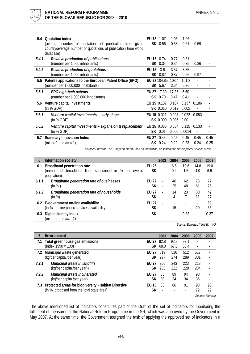

| 5.4     | <b>Quotation index</b>                                                      | EU 15       | 1.07            | 1.05         | 1.06         |       |      |
|---------|-----------------------------------------------------------------------------|-------------|-----------------|--------------|--------------|-------|------|
|         | (average number of quotations of publication from given                     |             | SK 0.56         | 0.58         | 0.61         | 0.59  |      |
|         | country/average number of quotations of publication from world<br>database) |             |                 |              |              |       |      |
| 5.4.1   |                                                                             | EU 15 0.74  |                 | 0.77         | 0.81         |       |      |
|         | Relative production of publications<br>(number per 1,000 inhabitants)       |             | SK 0.34         | 0.34         | 0.35         | 0.36  |      |
|         |                                                                             |             |                 |              |              |       |      |
| 5.4.2   | Relative production of quotations<br>(number per 1,000 inhabitants)         | EU 15       | 3.6<br>SK 0.87  | 3.57<br>0.87 | 3.85<br>0.96 | 0.97  |      |
|         |                                                                             |             |                 |              |              |       |      |
| $5.5\,$ | Patents applications to the European Patent Office (EPO)                    |             | EU 27 104.85    | 108.4        | 101.3        |       |      |
|         | (number per 1,000,000 inhabitants)                                          |             | SK 5.67         | 3.64         | 5.76         |       |      |
| 5.5.1   | EPO high-tech patents                                                       | EU 27 17.39 |                 | 17.36        | 6.50         |       |      |
|         | (number per 1,000,000 inhabitants)                                          |             | SK 0.70         | 0.47         | 0.41         |       |      |
| 5.6     | Venture capital investments                                                 | EU 15 0.107 |                 | 0.107        | 0.137        | 0.186 |      |
|         | (in % GDP)                                                                  |             | SK 0.010        | 0.012        | 0.002        |       |      |
| 5.6.1   | Venture capital investments - early stage                                   | EU 15 0.021 |                 | 0.023        | 0.022        | 0.053 |      |
|         | (in % GDP)                                                                  |             | <b>SK 0.000</b> | 0.006        | 0.001        |       |      |
| 5.6.2   | Venture capital investments - expansion & replacement                       | EU 15 0.086 |                 | 0.084        | 0.115        | 0.133 |      |
|         | (in % GDP)                                                                  |             | SK 0.01         |              | 0.006 0.0014 |       |      |
| 5.7     | <b>Summary Innovation Index</b>                                             | EU 27 0.45  |                 | 0.45         | 0.45         | 0.45  | 0.45 |
|         | $(min = 0 - max = 1)$                                                       |             | SK 0.24         | 0.22         | 0.23         | 0.24  | 0.25 |

*Source: Eurostat, The European Trend Chart on Innovation, Research and Development Council of the CR*

| 6     | Information society                                    |                        | 2003                     | 2004                     | 2005                     | 2006 | 2007 |
|-------|--------------------------------------------------------|------------------------|--------------------------|--------------------------|--------------------------|------|------|
| 6.1   | <b>Broadband penetration rate</b>                      | <b>FU 25</b>           | $\overline{a}$           | 6.5                      | 10.6                     | 14.8 | 19.0 |
|       | (number of broadband lines subscribed in % per overall | SК                     | $\overline{\phantom{a}}$ | 0.4                      | 1.5                      | 4.0  | 6.9  |
|       | population)                                            |                        |                          |                          |                          |      |      |
| 6.1.1 | <b>Broadband penetration rate of businesses</b>        | <b>FU 27</b>           | $\overline{\phantom{a}}$ | 46                       | 62                       | 73   | 77   |
|       | (in %)                                                 | SК                     | $\overline{\phantom{a}}$ | 25                       | 48                       | 61   | 76   |
| 6.1.2 | Broadband penetration rate of households               | <b>FU 27</b>           | $\overline{\phantom{a}}$ | 14                       | 23                       | 30   | 42   |
|       | (in %)                                                 | SК                     | $\overline{\phantom{a}}$ | 4                        |                          | 11   | 27   |
|       | 6.2 E-government on-line availability                  | <b>FU<sub>27</sub></b> | $\overline{\phantom{a}}$ |                          |                          |      | 59   |
|       | (in %, on-line public services availability)           | SK                     | $\overline{a}$           | 15                       | $\overline{\phantom{a}}$ | 20   | 35   |
| 6.3   | Digital literacy index                                 | SК                     |                          | $\overline{\phantom{a}}$ | 0.33                     | ٠    | 0.37 |
|       | $(min = 0 - max = 1)$                                  |                        |                          |                          |                          |      |      |

*Source: Eurostat, Infovek, IVO*

|       | Environment                                              |              | 2003          | 2004 | 2005 | 2006 | 2007 |
|-------|----------------------------------------------------------|--------------|---------------|------|------|------|------|
| 7.1   | Total greenhouse gas emissions                           | EU 27 92.8   |               | 92.8 | 92.1 |      |      |
|       | $($ Index 1990 = 100 $)$                                 |              | SK 68.0       | 67.5 | 66.4 | ٠    |      |
| 7.2   | Municipal waste generated                                | <b>FU 27</b> | 519           | 516  | 512  | 517  |      |
|       | (kg/per capita./per year)                                |              | SK 297        | 274  | 289  | 301  |      |
| 7.2.1 | Municipal waste in landfills                             | <b>FU 27</b> | 256           | 243  | 223  | 213  |      |
|       | (kg/per capita./per year))                               |              | <b>SK</b> 233 | 222  | 228  | 234  |      |
| 7.2.2 | Municipal waste incinerated                              | <b>FU 27</b> | 85            | 89   | 94   | 98   |      |
|       | (kg/per capita./per year)                                | SК           | 30            | 34   | 34   | 36   |      |
|       | 7.3 Protected areas for biodiversity - Habitat Directive | <b>EU 15</b> | 83            | 86   | 91   | 93   | 96   |
|       | (in %, proposed from the total state area)               | SК           |               |      |      | 72   | 72   |
|       | Course Fuseetal                                          |              |               |      |      |      |      |

*Source: Eurostat*

The above mentioned list of indicators constitutes part of the Draft of the set of indicators for monitoring the fulfilment of measures of the National Reform Programme in the SR, which was approved by the Government in May 2007. At the same time, the Government assigned the task of applying the approved set of indicators in a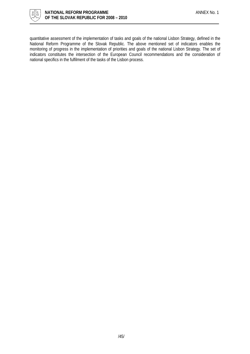

quantitative assessment of the implementation of tasks and goals of the national Lisbon Strategy, defined in the National Reform Programme of the Slovak Republic. The above mentioned set of indicators enables the monitoring of progress in the implementation of priorities and goals of the national Lisbon Strategy. The set of indicators constitutes the intersection of the European Council recommendations and the consideration of national specifics in the fulfilment of the tasks of the Lisbon process.